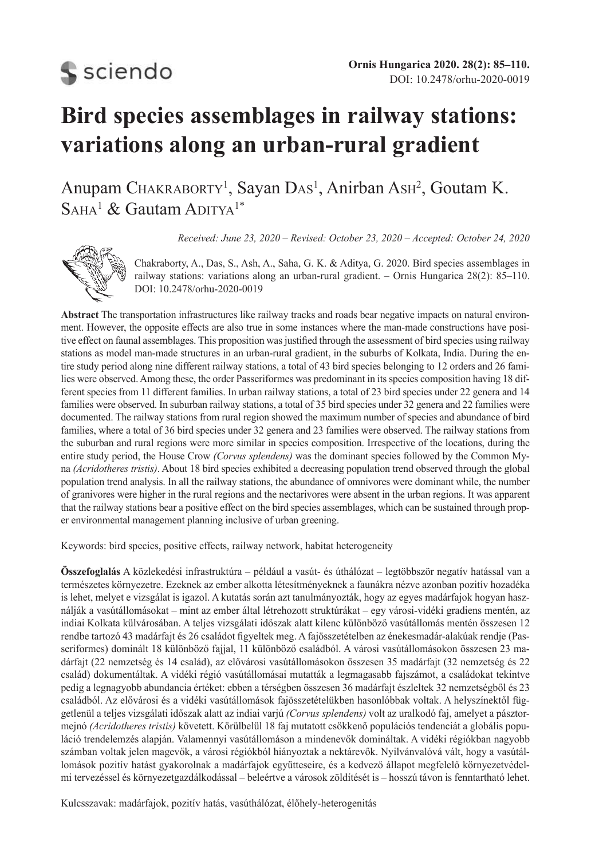**S** sciendo

# **Bird species assemblages in railway stations: variations along an urban-rural gradient**

Anupam CHAKRABORTY<sup>1</sup>, Sayan DAS<sup>1</sup>, Anirban AsH<sup>2</sup>, Goutam K.  $S$ aha<sup>1</sup> & Gautam Aditya<sup>1\*</sup>

*Received: June 23, 2020 – Revised: October 23, 2020 – Accepted: October 24, 2020*



Chakraborty, A., Das, S., Ash, A., Saha, G. K. & Aditya, G. 2020. Bird species assemblages in railway stations: variations along an urban-rural gradient. – Ornis Hungarica 28(2): 85–110. DOI: 10.2478/orhu-2020-0019

**Abstract** The transportation infrastructures like railway tracks and roads bear negative impacts on natural environment. However, the opposite effects are also true in some instances where the man-made constructions have positive effect on faunal assemblages. This proposition was justified through the assessment of bird species using railway stations as model man-made structures in an urban-rural gradient, in the suburbs of Kolkata, India. During the entire study period along nine different railway stations, a total of 43 bird species belonging to 12 orders and 26 families were observed. Among these, the order Passeriformes was predominant in its species composition having 18 different species from 11 different families. In urban railway stations, a total of 23 bird species under 22 genera and 14 families were observed. In suburban railway stations, a total of 35 bird species under 32 genera and 22 families were documented. The railway stations from rural region showed the maximum number of species and abundance of bird families, where a total of 36 bird species under 32 genera and 23 families were observed. The railway stations from the suburban and rural regions were more similar in species composition. Irrespective of the locations, during the entire study period, the House Crow *(Corvus splendens)* was the dominant species followed by the Common Myna *(Acridotheres tristis)*. About 18 bird species exhibited a decreasing population trend observed through the global population trend analysis. In all the railway stations, the abundance of omnivores were dominant while, the number of granivores were higher in the rural regions and the nectarivores were absent in the urban regions. It was apparent that the railway stations bear a positive effect on the bird species assemblages, which can be sustained through proper environmental management planning inclusive of urban greening.

Keywords: bird species, positive effects, railway network, habitat heterogeneity

**Összefoglalás** A közlekedési infrastruktúra – például a vasút- és úthálózat – legtöbbször negatív hatással van a természetes környezetre. Ezeknek az ember alkotta létesítményeknek a faunákra nézve azonban pozitív hozadéka is lehet, melyet e vizsgálat is igazol. A kutatás során azt tanulmányozták, hogy az egyes madárfajok hogyan használják a vasútállomásokat – mint az ember által létrehozott struktúrákat – egy városi-vidéki gradiens mentén, az indiai Kolkata külvárosában. A teljes vizsgálati időszak alatt kilenc különböző vasútállomás mentén összesen 12 rendbe tartozó 43 madárfajt és 26 családot figyeltek meg. A fajösszetételben az énekesmadár-alakúak rendje (Passeriformes) dominált 18 különböző fajjal, 11 különböző családból. A városi vasútállomásokon összesen 23 madárfajt (22 nemzetség és 14 család), az elővárosi vasútállomásokon összesen 35 madárfajt (32 nemzetség és 22 család) dokumentáltak. A vidéki régió vasútállomásai mutatták a legmagasabb fajszámot, a családokat tekintve pedig a legnagyobb abundancia értéket: ebben a térségben összesen 36 madárfajt észleltek 32 nemzetségből és 23 családból. Az elővárosi és a vidéki vasútállomások fajösszetételükben hasonlóbbak voltak. A helyszínektől függetlenül a teljes vizsgálati időszak alatt az indiai varjú *(Corvus splendens)* volt az uralkodó faj, amelyet a pásztormejnó *(Acridotheres tristis)* követett. Körülbelül 18 faj mutatott csökkenő populációs tendenciát a globális populáció trendelemzés alapján. Valamennyi vasútállomáson a mindenevők domináltak. A vidéki régiókban nagyobb számban voltak jelen magevők, a városi régiókból hiányoztak a nektárevők. Nyilvánvalóvá vált, hogy a vasútállomások pozitív hatást gyakorolnak a madárfajok együtteseire, és a kedvező állapot megfelelő környezetvédelmi tervezéssel és környezetgazdálkodással – beleértve a városok zöldítését is – hosszú távon is fenntartható lehet.

Kulcsszavak: madárfajok, pozitív hatás, vasúthálózat, élőhely-heterogenitás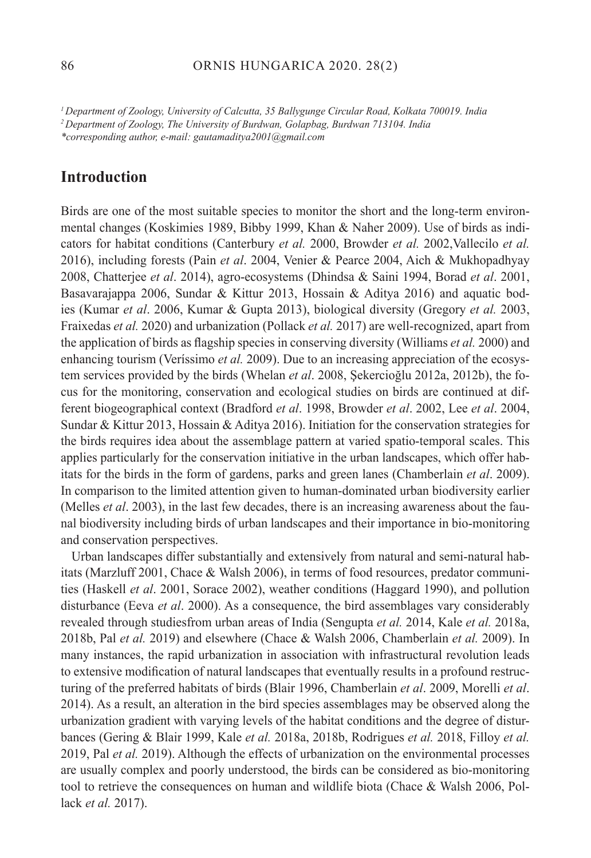### 86 ORNIS HUNGARICA 2020. 28(2)

*<sup>1</sup>Department of Zoology, University of Calcutta, 35 Ballygunge Circular Road, Kolkata 700019. India <sup>2</sup>Department of Zoology, The University of Burdwan, Golapbag, Burdwan 713104. India*

*\*corresponding author, e-mail: gautamaditya2001@gmail.com*

# **Introduction**

Birds are one of the most suitable species to monitor the short and the long-term environmental changes (Koskimies 1989, Bibby 1999, Khan & Naher 2009). Use of birds as indicators for habitat conditions (Canterbury *et al.* 2000, Browder *et al.* 2002,Vallecilo *et al.* 2016), including forests (Pain *et al*. 2004, Venier & Pearce 2004, Aich & Mukhopadhyay 2008, Chatterjee *et al*. 2014), agro-ecosystems (Dhindsa & Saini 1994, Borad *et al*. 2001, Basavarajappa 2006, Sundar & Kittur 2013, Hossain & Aditya 2016) and aquatic bodies (Kumar *et al*. 2006, Kumar & Gupta 2013), biological diversity (Gregory *et al.* 2003, Fraixedas *et al.* 2020) and urbanization (Pollack *et al.* 2017) are well-recognized, apart from the application of birds as flagship species in conserving diversity (Williams *et al.* 2000) and enhancing tourism (Veríssimo *et al.* 2009). Due to an increasing appreciation of the ecosystem services provided by the birds (Whelan *et al*. 2008, Şekercioğlu 2012a, 2012b), the focus for the monitoring, conservation and ecological studies on birds are continued at different biogeographical context (Bradford *et al*. 1998, Browder *et al*. 2002, Lee *et al*. 2004, Sundar & Kittur 2013, Hossain & Aditya 2016). Initiation for the conservation strategies for the birds requires idea about the assemblage pattern at varied spatio-temporal scales. This applies particularly for the conservation initiative in the urban landscapes, which offer habitats for the birds in the form of gardens, parks and green lanes (Chamberlain *et al*. 2009). In comparison to the limited attention given to human-dominated urban biodiversity earlier (Melles *et al*. 2003), in the last few decades, there is an increasing awareness about the faunal biodiversity including birds of urban landscapes and their importance in bio-monitoring and conservation perspectives.

Urban landscapes differ substantially and extensively from natural and semi-natural habitats (Marzluff 2001, Chace & Walsh 2006), in terms of food resources, predator communities (Haskell *et al*. 2001, Sorace 2002), weather conditions (Haggard 1990), and pollution disturbance (Eeva *et al*. 2000). As a consequence, the bird assemblages vary considerably revealed through studiesfrom urban areas of India (Sengupta *et al.* 2014, Kale *et al.* 2018a, 2018b, Pal *et al.* 2019) and elsewhere (Chace & Walsh 2006, Chamberlain *et al.* 2009). In many instances, the rapid urbanization in association with infrastructural revolution leads to extensive modification of natural landscapes that eventually results in a profound restructuring of the preferred habitats of birds (Blair 1996, Chamberlain *et al*. 2009, Morelli *et al*. 2014). As a result, an alteration in the bird species assemblages may be observed along the urbanization gradient with varying levels of the habitat conditions and the degree of disturbances (Gering & Blair 1999, Kale *et al.* 2018a, 2018b, Rodrigues *et al.* 2018, Filloy *et al.* 2019, Pal *et al.* 2019). Although the effects of urbanization on the environmental processes are usually complex and poorly understood, the birds can be considered as bio-monitoring tool to retrieve the consequences on human and wildlife biota (Chace & Walsh 2006, Pollack *et al.* 2017).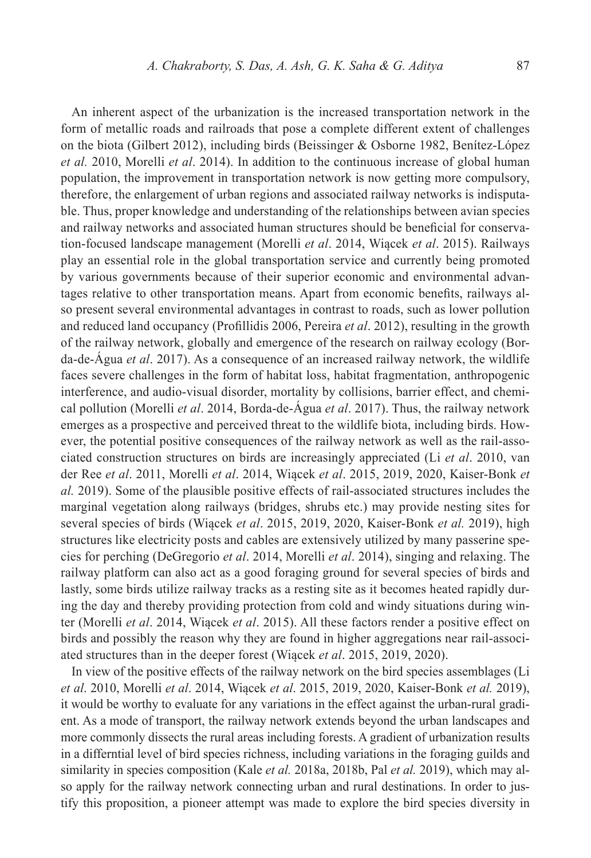An inherent aspect of the urbanization is the increased transportation network in the form of metallic roads and railroads that pose a complete different extent of challenges on the biota (Gilbert 2012), including birds (Beissinger & Osborne 1982, Benítez-López *et al.* 2010, Morelli *et al*. 2014). In addition to the continuous increase of global human population, the improvement in transportation network is now getting more compulsory, therefore, the enlargement of urban regions and associated railway networks is indisputable. Thus, proper knowledge and understanding of the relationships between avian species and railway networks and associated human structures should be beneficial for conservation-focused landscape management (Morelli *et al*. 2014, Wiącek *et al*. 2015). Railways play an essential role in the global transportation service and currently being promoted by various governments because of their superior economic and environmental advantages relative to other transportation means. Apart from economic benefits, railways also present several environmental advantages in contrast to roads, such as lower pollution and reduced land occupancy (Profillidis 2006, Pereira *et al*. 2012), resulting in the growth of the railway network, globally and emergence of the research on railway ecology (Borda-de-Água *et al*. 2017). As a consequence of an increased railway network, the wildlife faces severe challenges in the form of habitat loss, habitat fragmentation, anthropogenic interference, and audio-visual disorder, mortality by collisions, barrier effect, and chemical pollution (Morelli *et al*. 2014, Borda-de-Água *et al*. 2017). Thus, the railway network emerges as a prospective and perceived threat to the wildlife biota, including birds. However, the potential positive consequences of the railway network as well as the rail-associated construction structures on birds are increasingly appreciated (Li *et al*. 2010, van der Ree *et al*. 2011, Morelli *et al*. 2014, Wiącek *et al*. 2015, 2019, 2020, Kaiser-Bonk *et al.* 2019). Some of the plausible positive effects of rail-associated structures includes the marginal vegetation along railways (bridges, shrubs etc.) may provide nesting sites for several species of birds (Wiącek *et al*. 2015, 2019, 2020, Kaiser-Bonk *et al.* 2019), high structures like electricity posts and cables are extensively utilized by many passerine species for perching (DeGregorio *et al*. 2014, Morelli *et al*. 2014), singing and relaxing. The railway platform can also act as a good foraging ground for several species of birds and lastly, some birds utilize railway tracks as a resting site as it becomes heated rapidly during the day and thereby providing protection from cold and windy situations during winter (Morelli *et al*. 2014, Wiącek *et al*. 2015). All these factors render a positive effect on birds and possibly the reason why they are found in higher aggregations near rail-associated structures than in the deeper forest (Wiącek *et al*. 2015, 2019, 2020).

In view of the positive effects of the railway network on the bird species assemblages (Li *et al*. 2010, Morelli *et al*. 2014, Wiącek *et al*. 2015, 2019, 2020, Kaiser-Bonk *et al.* 2019), it would be worthy to evaluate for any variations in the effect against the urban-rural gradient. As a mode of transport, the railway network extends beyond the urban landscapes and more commonly dissects the rural areas including forests. A gradient of urbanization results in a differntial level of bird species richness, including variations in the foraging guilds and similarity in species composition (Kale *et al.* 2018a, 2018b, Pal *et al.* 2019), which may also apply for the railway network connecting urban and rural destinations. In order to justify this proposition, a pioneer attempt was made to explore the bird species diversity in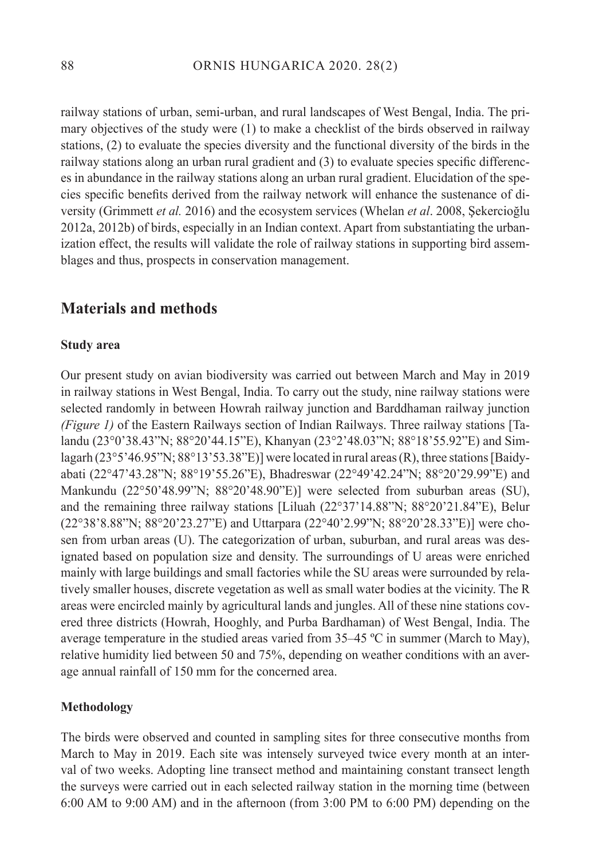railway stations of urban, semi-urban, and rural landscapes of West Bengal, India. The primary objectives of the study were (1) to make a checklist of the birds observed in railway stations, (2) to evaluate the species diversity and the functional diversity of the birds in the railway stations along an urban rural gradient and (3) to evaluate species specific differences in abundance in the railway stations along an urban rural gradient. Elucidation of the species specific benefits derived from the railway network will enhance the sustenance of diversity (Grimmett *et al.* 2016) and the ecosystem services (Whelan *et al*. 2008, Şekercioğlu 2012a, 2012b) of birds, especially in an Indian context. Apart from substantiating the urbanization effect, the results will validate the role of railway stations in supporting bird assemblages and thus, prospects in conservation management.

# **Materials and methods**

#### **Study area**

Our present study on avian biodiversity was carried out between March and May in 2019 in railway stations in West Bengal, India. To carry out the study, nine railway stations were selected randomly in between Howrah railway junction and Barddhaman railway junction *(Figure 1)* of the Eastern Railways section of Indian Railways. Three railway stations [Talandu (23°0'38.43"N; 88°20'44.15"E), Khanyan (23°2'48.03"N; 88°18'55.92"E) and Simlagarh (23°5'46.95"N; 88°13'53.38"E)] were located in rural areas (R), three stations [Baidyabati (22°47'43.28"N; 88°19'55.26"E), Bhadreswar (22°49'42.24"N; 88°20'29.99"E) and Mankundu (22°50'48.99"N; 88°20'48.90"E)] were selected from suburban areas (SU), and the remaining three railway stations [Liluah (22°37'14.88"N; 88°20'21.84"E), Belur (22°38'8.88"N; 88°20'23.27"E) and Uttarpara (22°40'2.99"N; 88°20'28.33"E)] were chosen from urban areas (U). The categorization of urban, suburban, and rural areas was designated based on population size and density. The surroundings of U areas were enriched mainly with large buildings and small factories while the SU areas were surrounded by relatively smaller houses, discrete vegetation as well as small water bodies at the vicinity. The R areas were encircled mainly by agricultural lands and jungles. All of these nine stations covered three districts (Howrah, Hooghly, and Purba Bardhaman) of West Bengal, India. The average temperature in the studied areas varied from 35–45 ºC in summer (March to May), relative humidity lied between 50 and 75%, depending on weather conditions with an average annual rainfall of 150 mm for the concerned area.

#### **Methodology**

The birds were observed and counted in sampling sites for three consecutive months from March to May in 2019. Each site was intensely surveyed twice every month at an interval of two weeks. Adopting line transect method and maintaining constant transect length the surveys were carried out in each selected railway station in the morning time (between 6:00 AM to 9:00 AM) and in the afternoon (from 3:00 PM to 6:00 PM) depending on the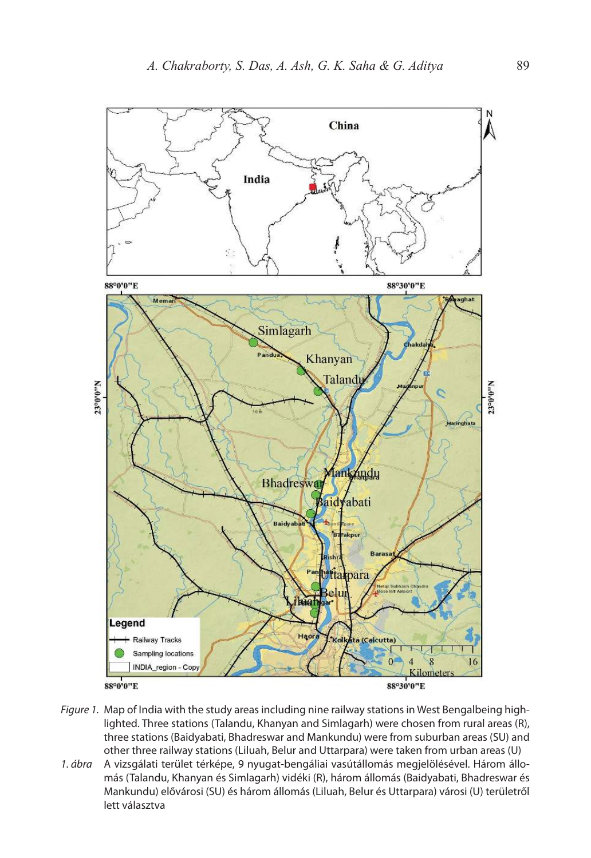

- Figure 1. Map of India with the study areas including nine railway stations in West Bengalbeing highlighted. Three stations (Talandu, Khanyan and Simlagarh) were chosen from rural areas (R), three stations (Baidyabati, Bhadreswar and Mankundu) were from suburban areas (SU) and other three railway stations (Liluah, Belur and Uttarpara) were taken from urban areas (U)
- 1. ábra A vizsgálati terület térképe, 9 nyugat-bengáliai vasútállomás megjelölésével. Három állomás (Talandu, Khanyan és Simlagarh) vidéki (R), három állomás (Baidyabati, Bhadreswar és Mankundu) elővárosi (SU) és három állomás (Liluah, Belur és Uttarpara) városi (U) területről lett választva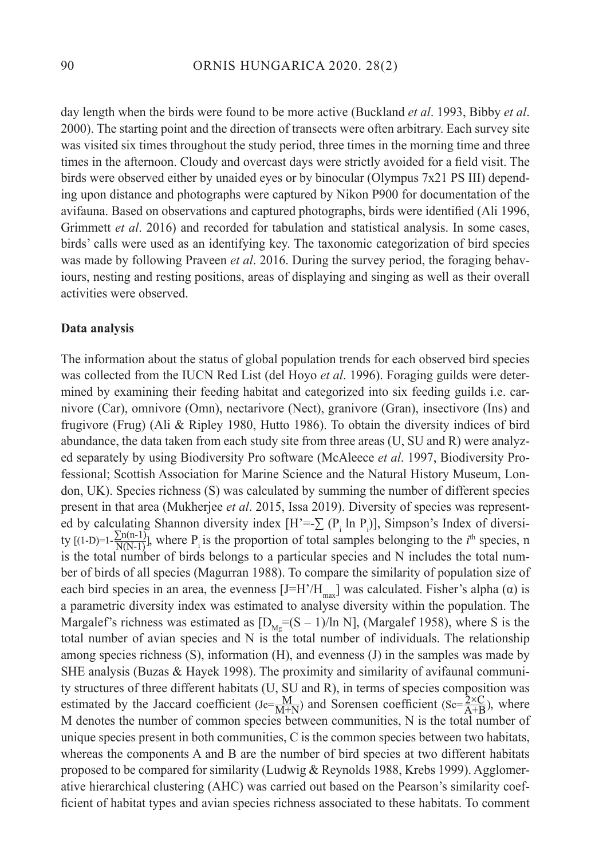day length when the birds were found to be more active (Buckland *et al*. 1993, Bibby *et al*. 2000). The starting point and the direction of transects were often arbitrary. Each survey site was visited six times throughout the study period, three times in the morning time and three times in the afternoon. Cloudy and overcast days were strictly avoided for a field visit. The birds were observed either by unaided eyes or by binocular (Olympus 7x21 PS III) depending upon distance and photographs were captured by Nikon P900 for documentation of the avifauna. Based on observations and captured photographs, birds were identified (Ali 1996, Grimmett *et al*. 2016) and recorded for tabulation and statistical analysis. In some cases, birds' calls were used as an identifying key. The taxonomic categorization of bird species was made by following Praveen *et al*. 2016. During the survey period, the foraging behaviours, nesting and resting positions, areas of displaying and singing as well as their overall activities were observed.

#### **Data analysis**

The information about the status of global population trends for each observed bird species was collected from the IUCN Red List (del Hoyo *et al*. 1996). Foraging guilds were determined by examining their feeding habitat and categorized into six feeding guilds i.e. carnivore (Car), omnivore (Omn), nectarivore (Nect), granivore (Gran), insectivore (Ins) and frugivore (Frug) (Ali & Ripley 1980, Hutto 1986). To obtain the diversity indices of bird abundance, the data taken from each study site from three areas (U, SU and R) were analyzed separately by using Biodiversity Pro software (McAleece *et al*. 1997, Biodiversity Professional; Scottish Association for Marine Science and the Natural History Museum, London, UK). Species richness (S) was calculated by summing the number of different species present in that area (Mukherjee *et al*. 2015, Issa 2019). Diversity of species was represented by calculating Shannon diversity index  $[H^{\prime}=\sum_{i}(P_i \ln P_i)]$ , Simpson's Index of diversity  $[(1-D)=1-\frac{2\ln(1-1)}{N(N-1)}]$ , where P<sub>i</sub> is the proportion of total samples belonging to the *i*<sup>th</sup> species, n is the total number of birds belongs to a particular species and N includes the total number of birds of all species (Magurran 1988). To compare the similarity of population size of each bird species in an area, the evenness  $[J=H'/H_{max}]$  was calculated. Fisher's alpha ( $\alpha$ ) is a parametric diversity index was estimated to analyse diversity within the population. The Margalef's richness was estimated as  $[D_{Mg}=(S-1)/\ln N]$ , (Margalef 1958), where S is the total number of avian species and N is the total number of individuals. The relationship among species richness  $(S)$ , information  $(H)$ , and evenness  $(J)$  in the samples was made by SHE analysis (Buzas & Hayek 1998). The proximity and similarity of avifaunal community structures of three different habitats (U, SU and R), in terms of species composition was estimated by the Jaccard coefficient  $(Jc = \frac{M}{M+N})$  and Sorensen coefficient  $(Sc = \frac{2 \times C}{A+B})$ , where M denotes the number of common species between communities, N is the total number of unique species present in both communities, C is the common species between two habitats, whereas the components A and B are the number of bird species at two different habitats proposed to be compared for similarity (Ludwig & Reynolds 1988, Krebs 1999). Agglomerative hierarchical clustering (AHC) was carried out based on the Pearson's similarity coefficient of habitat types and avian species richness associated to these habitats. To comment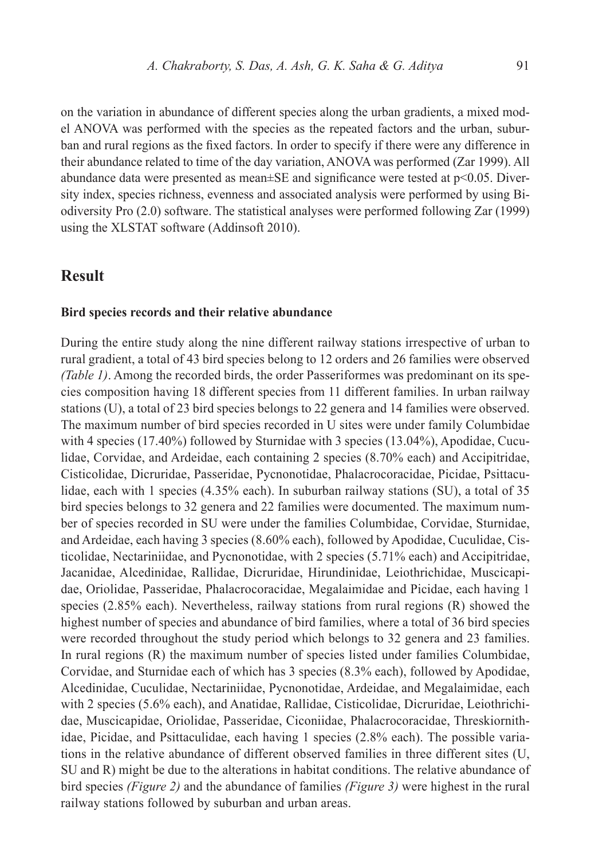on the variation in abundance of different species along the urban gradients, a mixed model ANOVA was performed with the species as the repeated factors and the urban, suburban and rural regions as the fixed factors. In order to specify if there were any difference in their abundance related to time of the day variation, ANOVA was performed (Zar 1999). All abundance data were presented as mean $\pm$ SE and significance were tested at  $p$ <0.05. Diversity index, species richness, evenness and associated analysis were performed by using Biodiversity Pro (2.0) software. The statistical analyses were performed following Zar (1999) using the XLSTAT software (Addinsoft 2010).

## **Result**

#### **Bird species records and their relative abundance**

During the entire study along the nine different railway stations irrespective of urban to rural gradient, a total of 43 bird species belong to 12 orders and 26 families were observed *(Table 1)*. Among the recorded birds, the order Passeriformes was predominant on its species composition having 18 different species from 11 different families. In urban railway stations (U), a total of 23 bird species belongs to 22 genera and 14 families were observed. The maximum number of bird species recorded in U sites were under family Columbidae with 4 species (17.40%) followed by Sturnidae with 3 species (13.04%), Apodidae, Cuculidae, Corvidae, and Ardeidae, each containing 2 species (8.70% each) and Accipitridae, Cisticolidae, Dicruridae, Passeridae, Pycnonotidae, Phalacrocoracidae, Picidae, Psittaculidae, each with 1 species (4.35% each). In suburban railway stations (SU), a total of 35 bird species belongs to 32 genera and 22 families were documented. The maximum number of species recorded in SU were under the families Columbidae, Corvidae, Sturnidae, and Ardeidae, each having 3 species (8.60% each), followed by Apodidae, Cuculidae, Cisticolidae, Nectariniidae, and Pycnonotidae, with 2 species (5.71% each) and Accipitridae, Jacanidae, Alcedinidae, Rallidae, Dicruridae, Hirundinidae, Leiothrichidae, Muscicapidae, Oriolidae, Passeridae, Phalacrocoracidae, Megalaimidae and Picidae, each having 1 species (2.85% each). Nevertheless, railway stations from rural regions (R) showed the highest number of species and abundance of bird families, where a total of 36 bird species were recorded throughout the study period which belongs to 32 genera and 23 families. In rural regions (R) the maximum number of species listed under families Columbidae, Corvidae, and Sturnidae each of which has 3 species (8.3% each), followed by Apodidae, Alcedinidae, Cuculidae, Nectariniidae, Pycnonotidae, Ardeidae, and Megalaimidae, each with 2 species (5.6% each), and Anatidae, Rallidae, Cisticolidae, Dicruridae, Leiothrichidae, Muscicapidae, Oriolidae, Passeridae, Ciconiidae, Phalacrocoracidae, Threskiornithidae, Picidae, and Psittaculidae, each having 1 species (2.8% each). The possible variations in the relative abundance of different observed families in three different sites (U, SU and R) might be due to the alterations in habitat conditions. The relative abundance of bird species *(Figure 2)* and the abundance of families *(Figure 3)* were highest in the rural railway stations followed by suburban and urban areas.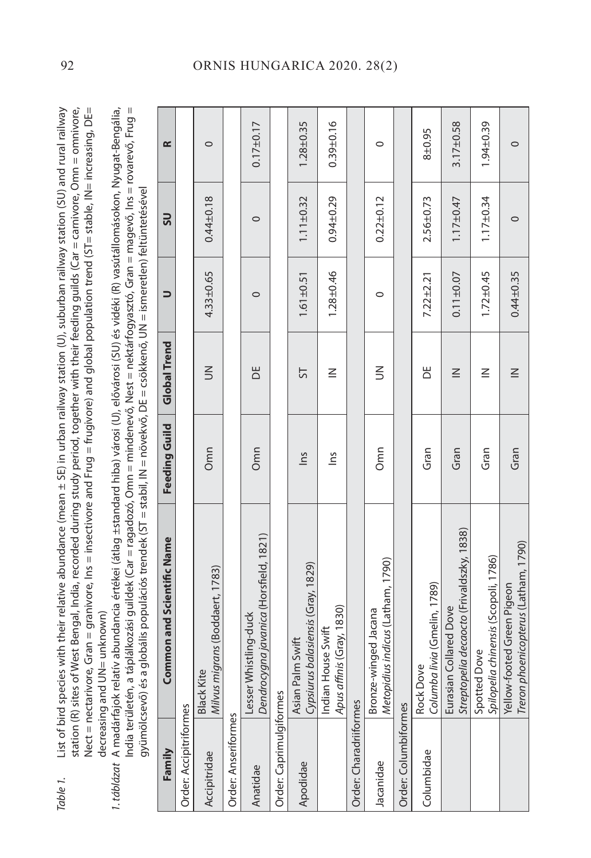- Table 1. List of bird species with their relative abundance (mean ± SE) in urban railway station (U), suburban railway station (SU) and rural railway station (R) sites of West Bengal, India, recorded during study period, together with their feeding guilds (Car = carnivore, Omn = omnivore, station (R) sites of West Bengal, India, recorded during study period, together with their feeding guilds (Car = carnivore, Omn = omnivore, Nect = nectarivore, Gran = granivore, Ins = insectivore and Frug = frugivore) and global population trend (ST= stable, IN= increasing, DE= Nect = nectarivore, Gran = granivore, Ins = insectivore and Frug = frugivore) and global population trend (ST= stable, IN= increasing, DE= List of bird species with their relative abundance (mean  $\pm$  SE) in urban railway station (U), suburban railway station (SU) and rural railway decreasing and UN= unknown) decreasing and UN= unknown) Table 1.
	- 1. táblázat A madárfajok relatív abundancia értékei (átlag ±standard hiba) városi (U), elővárosi (SU) és vidéki (R) vasútállomásokon, Nyugat-Bengália, 1. táblázat A madárfajok relatív abundancia értékei (átlag ±standard hiba) városi (U), elővárosi (SU) és vidéki (R) vasútállomásokon, Nyugat-Bengália, India területén, a táplálkozási guildek (Car = ragadozó, Omn = mindenevő, Nest = nektárfogyasztó, Gran = magevő, Ins = rovarevő, Frug = India területén, a táplálkozási guildek (Car = ragadozó, Omn = mindenevő, Nest = nektárfogyasztó, Gran = magevő, Ins = rovarevő, Frug = gyümölcsevő) és a globális populációs trendek (ST = stabil, IN = növekvő, DE = csökkenő, UN = ismeretlen) feltüntetésével gyümölcsevő) és a globális populációs trendek (ST = stabil, IN = növekvő, DE = csökkenő, UN = ismeretlen) feltüntetésével

| Family                  | Common and Scientific Name                                          | Feeding Guild | <b>Global Trend</b> | $\Rightarrow$   | SU              | $\propto$       |
|-------------------------|---------------------------------------------------------------------|---------------|---------------------|-----------------|-----------------|-----------------|
| Order: Accipitriformes  |                                                                     |               |                     |                 |                 |                 |
| Accipitridae            | Milvus migrans (Boddaert, 1783)<br><b>Black Kite</b>                | Omn           | $\leq$              | $4.33 + 0.65$   | $0.44 \pm 0.18$ | $\circ$         |
| Order: Anseriformes     |                                                                     |               |                     |                 |                 |                 |
| Anatidae                | Dendrocygna javanica (Horsfield, 1821)<br>Lesser Whistling-duck     | Omn           | ă                   | $\circ$         | $\circ$         | $0.17 + 0.17$   |
| Order: Caprimulgiformes |                                                                     |               |                     |                 |                 |                 |
| Apodidae                | Cypsiurus balasiensis (Gray, 1829)<br>Asian Palm Swift              | lns           | 5                   | $1.61 \pm 0.51$ | $1.11 \pm 0.32$ | $1.28 + 0.35$   |
|                         | Apus affinis (Gray, 1830)<br>Indian House Swift                     | $\frac{2}{3}$ | $\leq$              | $1.28 + 0.46$   | $0.94 + 0.29$   | $0.39 + 0.16$   |
| Order: Charadriiformes  |                                                                     |               |                     |                 |                 |                 |
| Jacanidae               | Metopidius indicus (Latham, 1790)<br>Bronze-winged Jacana           | Omn           | $\leq$              | 0               | $0.22 \pm 0.12$ | $\circ$         |
| Order: Columbiformes    |                                                                     |               |                     |                 |                 |                 |
| Columbidae              | Columba livia (Gmelin, 1789)<br>Rock Dove                           | Gran          | Ь                   | $7.22 \pm 2.21$ | $2.56 + 0.73$   | $8 + 0.95$      |
|                         | Streptopelia decaocto (Frivaldszky, 1838)<br>Eurasian Collared Dove | Gran          | $\leq$              | $0.11 \pm 0.07$ | $1.17 \pm 0.47$ | $3.17 \pm 0.58$ |
|                         | Spilopelia chinensis (Scopoli, 1786)<br>Spotted Dove                | Gran          | $\leq$              | $1.72 \pm 0.45$ | $1.17 \pm 0.34$ | $1.94 \pm 0.39$ |
|                         | Treron phoenicopterus (Latham, 1790)<br>Yellow-footed Green Pigeon  | Gran          | $\leq$              | $0.44 \pm 0.35$ | $\circ$         | $\circ$         |

## 92 ORNIS HUNGARICA 2020. 28(2)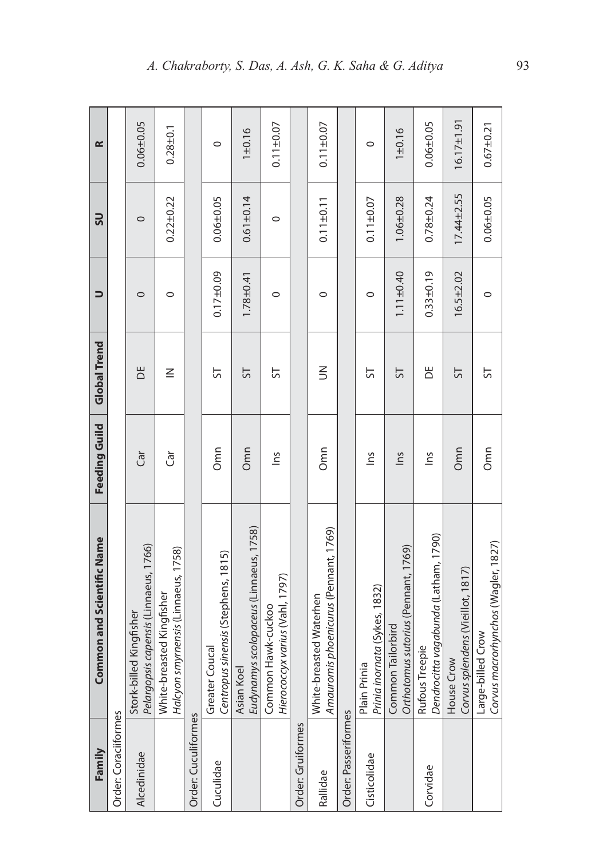| Family               | <b>Common and Scientific Name</b>                                | <b>Feeding Guild</b> | <b>Global Trend</b> | コ               | SU               | $\approx$        |
|----------------------|------------------------------------------------------------------|----------------------|---------------------|-----------------|------------------|------------------|
| Order: Coraciiformes |                                                                  |                      |                     |                 |                  |                  |
| Alcedinidae          | Pelargopsis capensis (Linnaeus, 1766)<br>Stork-billed Kingfisher | Ğ                    | ă                   | $\circ$         | $\circ$          | $0.06 + 0.05$    |
|                      | Halcyon smymensis (Linnaeus, 1758)<br>White-breasted Kingfisher  | Ğ                    | $\leq$              | $\circ$         | $0.22 \pm 0.22$  | $0.28 + 0.1$     |
| Order: Cuculiformes  |                                                                  |                      |                     |                 |                  |                  |
| Cuculidae            | Centropus sinensis (Stephens, 1815)<br>Coucal<br>Greater         | Omn                  | 5                   | $0.17 + 0.09$   | $0.06 + 0.05$    | $\circ$          |
|                      | Eudynamys scolopaceus (Linnaeus, 1758)<br>Asian Koel             | Omn                  | 55                  | $1.78 + 0.41$   | $0.61 \pm 0.14$  | $1 + 0.16$       |
|                      | Hierococcyx varius (Vahl, 1797)<br>Common Hawk-cuckoo            | $\frac{2}{10}$       | 5                   | 0               | $\circ$          | $0.11 \pm 0.07$  |
| Order: Gruiformes    |                                                                  |                      |                     |                 |                  |                  |
| Rallidae             | Amauromis phoenicurus (Pennant, 1769)<br>White-breasted Waterhen | Omn                  | $\leq$              | $\circ$         | $0.11 \pm 0.11$  | $0.11 \pm 0.07$  |
| Order: Passeriformes |                                                                  |                      |                     |                 |                  |                  |
| Cisticolidae         | Plain Prinia<br><i>Prinia inornata (Sykes,</i> 1832)             | $\frac{2}{10}$       | 5                   | $\circ$         | $0.11 \pm 0.07$  | $\circ$          |
|                      | Orthotomus sutorius (Pennant, 1769)<br>Common Tailorbird         | $\frac{1}{2}$        | 5                   | $1.11 \pm 0.40$ | $1.06 + 0.28$    | $1 + 0.16$       |
| Corvidae             | Dendrocitta vagabunda (Latham, 1790)<br>Rufous Treepie           | $\tilde{m}$          | ăΡ                  | $0.33 \pm 0.19$ | $0.78 + 0.24$    | $0.06 + 0.05$    |
|                      | Corvus splendens (Vieillot, 1817)<br>House Crow                  | Omn                  | 55                  | $16.5 + 2.02$   | $17.44 \pm 2.55$ | $16.17 \pm 1.91$ |
|                      | Corvus macrorhynchos (Wagler, 1827)<br>Large-billed Crow         | Omn                  | 5                   | $\circ$         | $0.06 + 0.05$    | $0.67 + 0.21$    |

5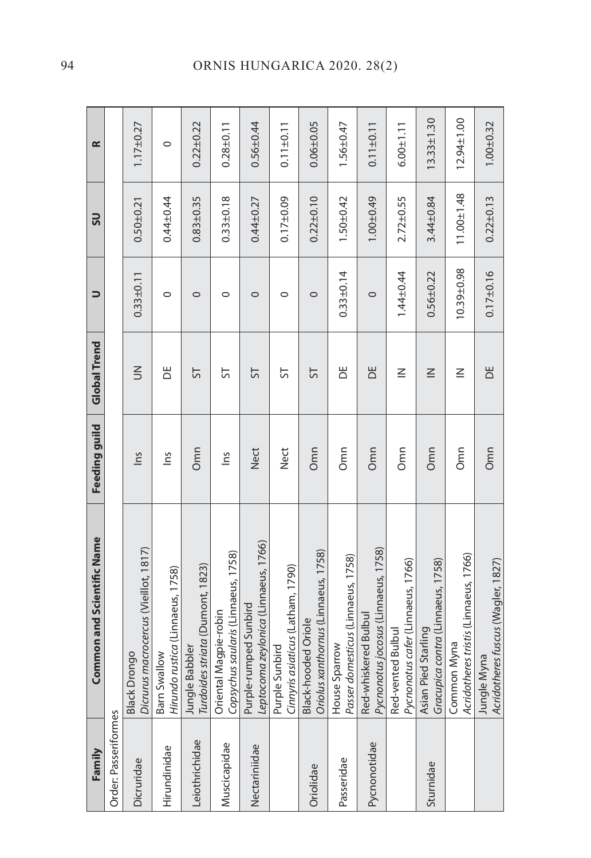| Family               | Common and Scientific Name                                        | Feeding guild | <b>Global Trend</b> | $\Rightarrow$   | SU               | $\approx$        |
|----------------------|-------------------------------------------------------------------|---------------|---------------------|-----------------|------------------|------------------|
| Order: Passeriformes |                                                                   |               |                     |                 |                  |                  |
| Dicruridae           | Dicrurus macrocercus (Vieillot, 1817)<br><b>Black Drongo</b>      | Sul           | $\leq$              | $0.33 \pm 0.11$ | $0.50 + 0.21$    | $1.17 + 0.27$    |
| Hirundinidae         | Hirundo rustica (Linnaeus, 1758)<br>Barn Swallow                  | Σu            | ă                   | $\circ$         | $0.44 + 0.44$    | $\circ$          |
| Leiothrichidae       | Jungle Babbler<br><i>Turdoides striata (</i> Dumont, 1823)        | Omn           | 55                  | $\circ$         | $0.83 + 0.35$    | $0.22 \pm 0.22$  |
| Muscicapidae         | Copsychus saularis (Linnaeus, 1758)<br>Magpie-robin<br>Oriental   | $\tilde{m}$   | 55                  | $\circ$         | $0.33 + 0.18$    | $0.28 + 0.11$    |
| Nectariniidae        | Leptocoma zeylonica (Linnaeus, 1766)<br>Purple-rumped Sunbird     | <b>Nect</b>   | 55                  | $\circ$         | $0.44 + 0.27$    | $0.56 + 0.44$    |
|                      | Cinnyris asiaticus (Latham, 1790)<br>Purple Sunbird               | <b>Nect</b>   | 5                   | $\circ$         | $0.17 + 0.09$    | $0.11 \pm 0.11$  |
| Oriolidae            | Black-hooded Oriole<br><i>Oriolus xanthornus</i> (Linnaeus, 1758) | Omn           | 55                  | $\circ$         | $0.22 + 0.10$    | $0.06 + 0.05$    |
| Passeridae           | Passer domesticus (Linnaeus, 1758)<br>House Sparrow               | Omn           | Ъ                   | $0.33 \pm 0.14$ | $1.50 + 0.42$    | $1.56 + 0.47$    |
| Pycnonotidae         | Pycnonotus jocosus (Linnaeus, 1758)<br>Red-whiskered Bulbul       | Omn           | ă                   | $\circ$         | $1.00 + 0.49$    | $0.11 \pm 0.11$  |
|                      | Pycnonotus cafer (Linnaeus, 1766)<br>Red-vented Bulbul            | Omn           | $\leq$              | $1.44 \pm 0.44$ | $2.72 \pm 0.55$  | $6.00 + 1.11$    |
| Sturnidae            | Gracupica contra (Linnaeus, 1758)<br>Asian Pied Starling          | Omn           | $\leq$              | $0.56 + 0.22$   | $3.44 \pm 0.84$  | $13.33 \pm 1.30$ |
|                      | Acridotheres tristis (Linnaeus, 1766)<br>Common Myna              | Omn           | $\leq$              | 10.39±0.98      | $11.00 \pm 1.48$ | $12.94 \pm 1.00$ |
|                      | Acridotheres fuscus (Wagler, 1827)<br>Jungle Myna                 | Omn           | ЪË                  | $0.17 \pm 0.16$ | $0.22 \pm 0.13$  | $1.00 + 0.32$    |

# 94 ORNIS HUNGARICA 2020. 28(2)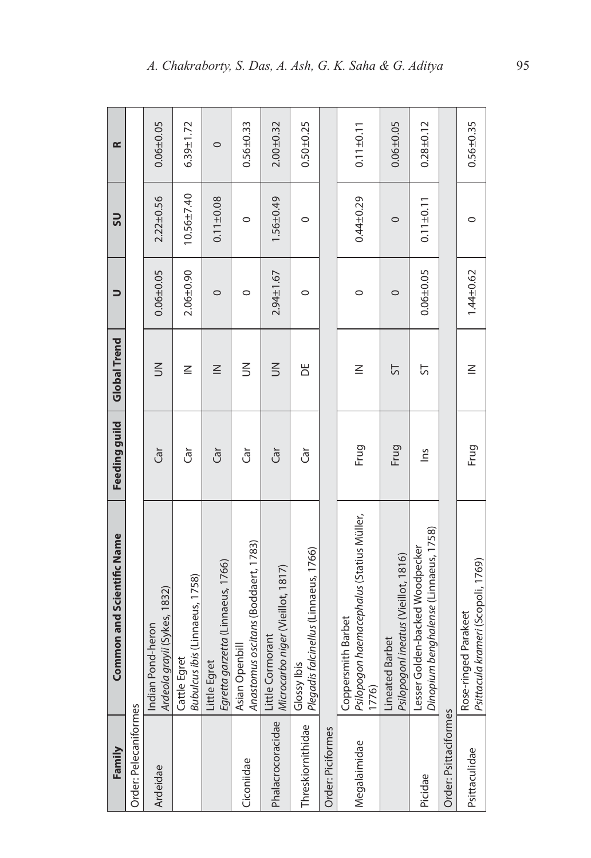| Family                | <b>Common and Scientific Name</b>                                            | Feeding guild  | <b>Global Trend</b> | コ               | <u>SS</u>       | œ               |
|-----------------------|------------------------------------------------------------------------------|----------------|---------------------|-----------------|-----------------|-----------------|
| Order: Pelecaniformes |                                                                              |                |                     |                 |                 |                 |
| Ardeidae              | grayii (Sykes, 1832)<br>Pond-heron<br>Ardeola<br>Indian F                    | Ğ              | $\leq$              | $0.06 + 0.05$   | $2.22 \pm 0.56$ | $0.06 + 0.05$   |
|                       | Bubulcus ibis (Linnaeus, 1758)<br>Cattle Egret                               | Ğ              | $\leq$              | $2.06 + 0.90$   | $10.56 + 7.40$  | $6.39 \pm 1.72$ |
|                       | Egretta garzetta (Linnaeus, 1766)<br>Little Egret                            | Ğ              | $\leq$              | $\circ$         | $0.11 \pm 0.08$ | $\circ$         |
| Ciconiidae            | Anastomus oscitans (Boddaert, 1783)<br>Asian Openbill                        | đ              | $\leq$              | $\circ$         | $\circ$         | $0.56 + 0.33$   |
| Phalacrocoracidae     | Microcarbo niger (Vieillot, 1817)<br>Little Cormorant                        | Ğ              | $\leq$              | $2.94 \pm 1.67$ | 1.56±0.49       | $2.00 + 0.32$   |
| Threskiornithidae     | s falcinellus (Linnaeus, 1766)<br>lbis<br>Glossy<br>Plegadis                 | Ğ              | Ж                   | 0               | 0               | $0.50 + 0.25$   |
| Order: Piciformes     |                                                                              |                |                     |                 |                 |                 |
| Megalaimidae          | Psilopogon haemacephalus (Statius Müller,<br>smith Barbet<br>Copper<br>1776) | Frug           | $\leq$              | $\circ$         | $0.44 + 0.29$   | $0.11 \pm 0.11$ |
|                       | Psilopogonl ineatus (Vieillot, 1816)<br>Lineated Barbet                      | Frug           | 5                   | $\circ$         | $\circ$         | $0.06 + 0.05$   |
|                       | Dinopium benghalense (Linnaeus, 1758)<br>Lesser Golden-backed Woodpecker     | $\frac{2}{10}$ | ᇅ                   | $0.06 + 0.05$   | $0.11 \pm 0.11$ | $0.28 + 0.12$   |
| Order: Psittaciformes |                                                                              |                |                     |                 |                 |                 |
| Psittaculidae         | Psittacula krameri (Scopoli, 1769)<br>Rose-ringed Parakeet                   | Frug           | $\leq$              | $1.44 \pm 0.62$ | $\circ$         | $0.56 + 0.35$   |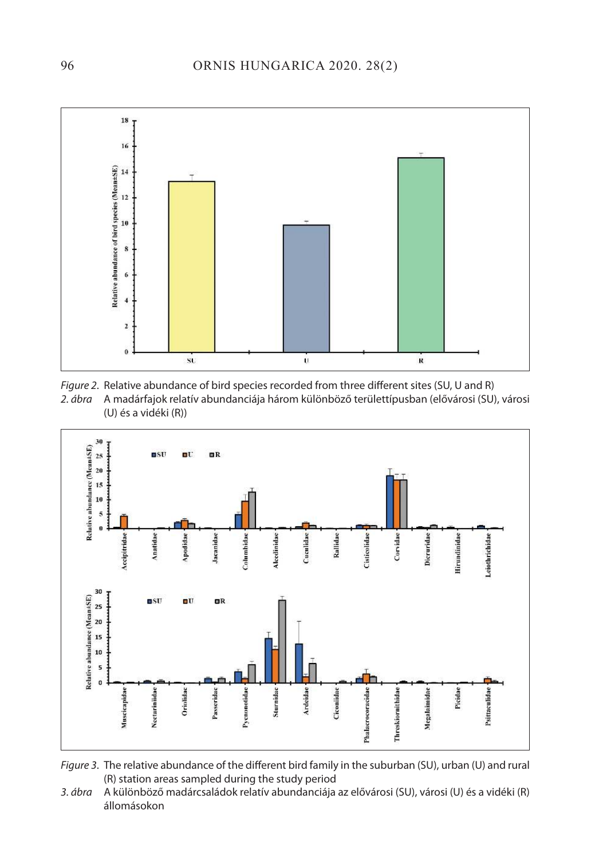





Figure 3. The relative abundance of the different bird family in the suburban (SU), urban (U) and rural (R) station areas sampled during the study period

3. ábra A különböző madárcsaládok relatív abundanciája az elővárosi (SU), városi (U) és a vidéki (R) állomásokon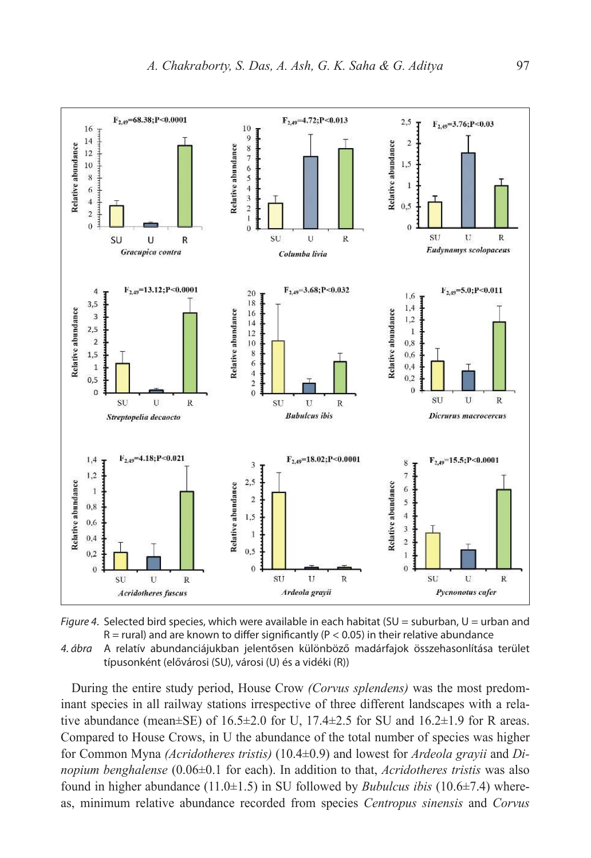



típusonként (elővárosi (SU), városi (U) és a vidéki (R))

During the entire study period, House Crow *(Corvus splendens)* was the most predominant species in all railway stations irrespective of three different landscapes with a relative abundance (mean $\pm$ SE) of 16.5 $\pm$ 2.0 for U, 17.4 $\pm$ 2.5 for SU and 16.2 $\pm$ 1.9 for R areas. Compared to House Crows, in U the abundance of the total number of species was higher for Common Myna *(Acridotheres tristis)* (10.4±0.9) and lowest for *Ardeola grayii* and *Dinopium benghalense* (0.06±0.1 for each). In addition to that, *Acridotheres tristis* was also found in higher abundance (11.0±1.5) in SU followed by *Bubulcus ibis* (10.6±7.4) whereas, minimum relative abundance recorded from species *Centropus sinensis* and *Corvus*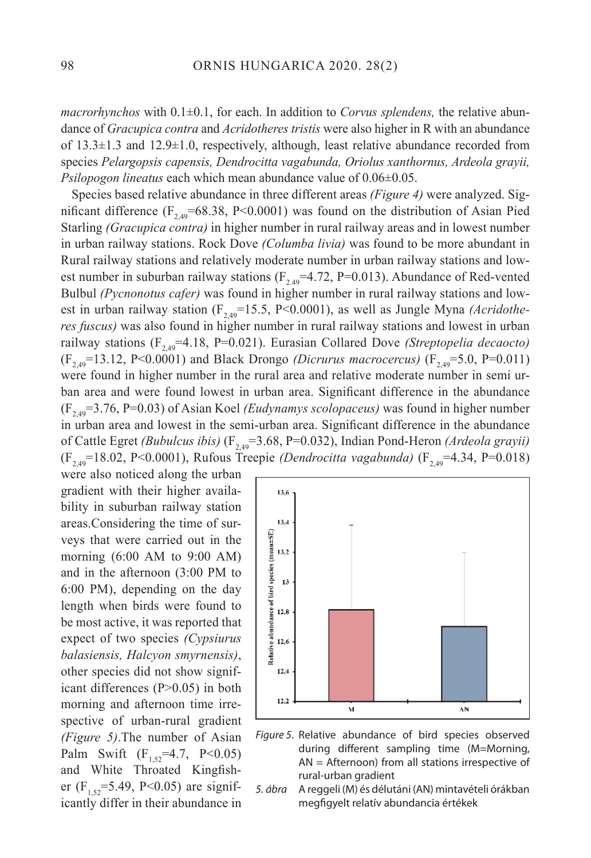*macrorhynchos* with 0.1±0.1, for each. In addition to *Corvus splendens,* the relative abundance of *Gracupica contra* and *Acridotheres tristis* were also higher in R with an abundance of  $13.3\pm1.3$  and  $12.9\pm1.0$ , respectively, although, least relative abundance recorded from species *Pelargopsis capensis, Dendrocitta vagabunda, Oriolus xanthornus, Ardeola grayii, Psilopogon lineatus* each which mean abundance value of 0.06±0.05.

Species based relative abundance in three different areas *(Figure 4)* were analyzed. Significant difference  $(F_{2,49} = 68.38, P < 0.0001)$  was found on the distribution of Asian Pied Starling *(Gracupica contra)* in higher number in rural railway areas and in lowest number in urban railway stations. Rock Dove *(Columba livia)* was found to be more abundant in Rural railway stations and relatively moderate number in urban railway stations and lowest number in suburban railway stations ( $F_{2,49}$ =4.72, P=0.013). Abundance of Red-vented Bulbul *(Pycnonotus cafer)* was found in higher number in rural railway stations and lowest in urban railway station  $(F_{2,49} = 15.5, P < 0.0001)$ , as well as Jungle Myna *(Acridotheres fuscus)* was also found in higher number in rural railway stations and lowest in urban railway stations  $(F_{2,49} = 4.18, P = 0.021)$ . Eurasian Collared Dove *(Streptopelia decaocto)*  $(F_{2,49}=13.12, P<0.0001)$  and Black Drongo *(Dicrurus macrocercus)*  $(F_{2,49}=5.0, P=0.011)$ were found in higher number in the rural area and relative moderate number in semi urban area and were found lowest in urban area. Significant difference in the abundance (F2,49=3.76, P=0.03) of Asian Koel *(Eudynamys scolopaceus)* was found in higher number in urban area and lowest in the semi-urban area. Significant difference in the abundance of Cattle Egret *(Bubulcus ibis)* (F<sub>2,49</sub>=3.68, P=0.032), Indian Pond-Heron *(Ardeola grayii)* (F<sub>2,49</sub>=18.02, P<0.0001), Rufous Treepie *(Dendrocitta vagabunda)* (F<sub>2,49</sub>=4.34, P=0.018)

were also noticed along the urban gradient with their higher availability in suburban railway station areas.Considering the time of surveys that were carried out in the morning (6:00 AM to 9:00 AM) and in the afternoon (3:00 PM to 6:00 PM), depending on the day length when birds were found to be most active, it was reported that expect of two species *(Cypsiurus balasiensis, Halcyon smyrnensis)*, other species did not show significant differences (P>0.05) in both morning and afternoon time irrespective of urban-rural gradient *(Figure 5)*.The number of Asian Palm Swift  $(F_{152}=4.7, P<0.05)$ and White Throated Kingfisher ( $F_{152}$ =5.49, P<0.05) are significantly differ in their abundance in



Figure 5. Relative abundance of bird species observed during different sampling time (M=Morning, AN = Afternoon) from all stations irrespective of rural-urban gradient

5. ábra A reggeli (M) és délutáni (AN) mintavételi órákban megfigyelt relatív abundancia értékek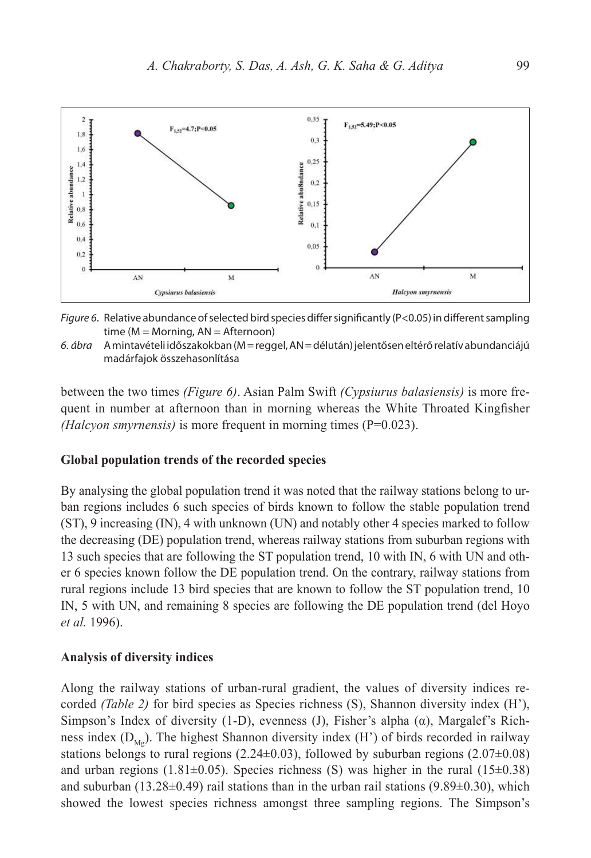

Figure 6. Relative abundance of selected bird species differ significantly (P<0.05) in different sampling time (M = Morning, AN = Afternoon)

6. ábra A mintavételi időszakokban (M = reggel, AN = délután) jelentősen eltérő relatív abundanciájú madárfajok összehasonlítása

between the two times *(Figure 6)*. Asian Palm Swift *(Cypsiurus balasiensis)* is more frequent in number at afternoon than in morning whereas the White Throated Kingfisher *(Halcyon smyrnensis)* is more frequent in morning times (P=0.023).

#### **Global population trends of the recorded species**

By analysing the global population trend it was noted that the railway stations belong to urban regions includes 6 such species of birds known to follow the stable population trend (ST), 9 increasing (IN), 4 with unknown (UN) and notably other 4 species marked to follow the decreasing (DE) population trend, whereas railway stations from suburban regions with 13 such species that are following the ST population trend, 10 with IN, 6 with UN and other 6 species known follow the DE population trend. On the contrary, railway stations from rural regions include 13 bird species that are known to follow the ST population trend, 10 IN, 5 with UN, and remaining 8 species are following the DE population trend (del Hoyo *et al.* 1996).

#### **Analysis of diversity indices**

Along the railway stations of urban-rural gradient, the values of diversity indices recorded *(Table 2)* for bird species as Species richness (S), Shannon diversity index (H'), Simpson's Index of diversity (1-D), evenness (J), Fisher's alpha  $(\alpha)$ , Margalef's Richness index  $(D_{M_0})$ . The highest Shannon diversity index  $(H')$  of birds recorded in railway stations belongs to rural regions  $(2.24\pm0.03)$ , followed by suburban regions  $(2.07\pm0.08)$ and urban regions (1.81 $\pm$ 0.05). Species richness (S) was higher in the rural (15 $\pm$ 0.38) and suburban (13.28 $\pm$ 0.49) rail stations than in the urban rail stations (9.89 $\pm$ 0.30), which showed the lowest species richness amongst three sampling regions. The Simpson's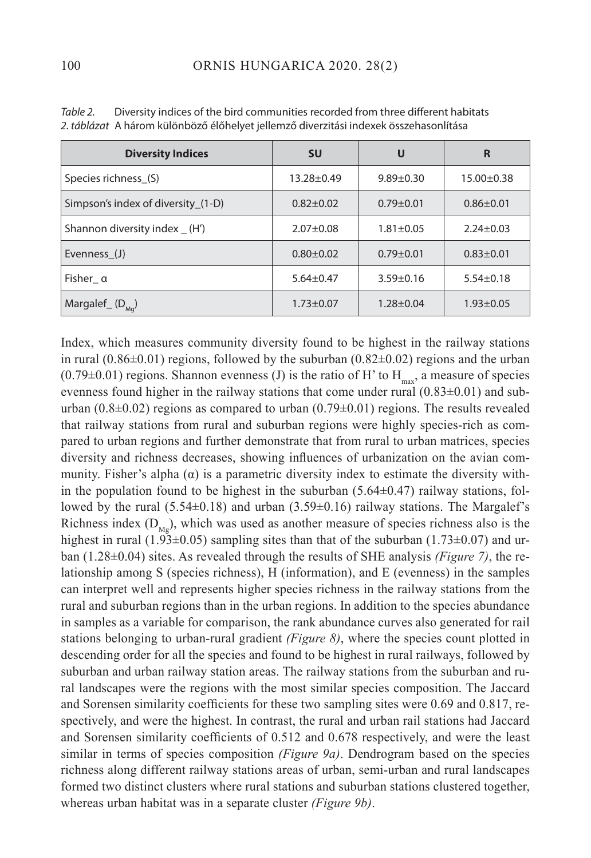| <b>Diversity Indices</b>             | <b>SU</b>        | U               | R                |
|--------------------------------------|------------------|-----------------|------------------|
| Species richness (S)                 | $13.28 \pm 0.49$ | $9.89 \pm 0.30$ | $15.00 \pm 0.38$ |
| Simpson's index of diversity (1-D)   | $0.82 + 0.02$    | $0.79 \pm 0.01$ | $0.86 \pm 0.01$  |
| Shannon diversity index _ (H')       | $2.07 + 0.08$    | $1.81 \pm 0.05$ | $2.24 \pm 0.03$  |
| Evenness (J)                         | $0.80 + 0.02$    | $0.79 + 0.01$   | $0.83 \pm 0.01$  |
| Fisher_ $\alpha$                     | $5.64 \pm 0.47$  | $3.59 \pm 0.16$ | $5.54 \pm 0.18$  |
| Margalef <sub>(D<sub>Mq</sub>)</sub> | $1.73 \pm 0.07$  | $1.28 + 0.04$   | $1.93 \pm 0.05$  |

Table 2. Diversity indices of the bird communities recorded from three different habitats 2. táblázat A három különböző élőhelyet jellemző diverzitási indexek összehasonlítása

Index, which measures community diversity found to be highest in the railway stations in rural  $(0.86\pm0.01)$  regions, followed by the suburban  $(0.82\pm0.02)$  regions and the urban  $(0.79\pm0.01)$  regions. Shannon evenness (J) is the ratio of H' to  $H_{\text{max}}$ , a measure of species evenness found higher in the railway stations that come under rural  $(0.83\pm0.01)$  and suburban (0.8 $\pm$ 0.02) regions as compared to urban (0.79 $\pm$ 0.01) regions. The results revealed that railway stations from rural and suburban regions were highly species-rich as compared to urban regions and further demonstrate that from rural to urban matrices, species diversity and richness decreases, showing influences of urbanization on the avian community. Fisher's alpha  $(\alpha)$  is a parametric diversity index to estimate the diversity within the population found to be highest in the suburban  $(5.64\pm0.47)$  railway stations, followed by the rural  $(5.54\pm0.18)$  and urban  $(3.59\pm0.16)$  railway stations. The Margalef's Richness index  $(D_{\text{Mg}})$ , which was used as another measure of species richness also is the highest in rural (1.93±0.05) sampling sites than that of the suburban (1.73±0.07) and urban (1.28±0.04) sites. As revealed through the results of SHE analysis *(Figure 7)*, the relationship among S (species richness), H (information), and E (evenness) in the samples can interpret well and represents higher species richness in the railway stations from the rural and suburban regions than in the urban regions. In addition to the species abundance in samples as a variable for comparison, the rank abundance curves also generated for rail stations belonging to urban-rural gradient *(Figure 8)*, where the species count plotted in descending order for all the species and found to be highest in rural railways, followed by suburban and urban railway station areas. The railway stations from the suburban and rural landscapes were the regions with the most similar species composition. The Jaccard and Sorensen similarity coefficients for these two sampling sites were 0.69 and 0.817, respectively, and were the highest. In contrast, the rural and urban rail stations had Jaccard and Sorensen similarity coefficients of 0.512 and 0.678 respectively, and were the least similar in terms of species composition *(Figure 9a)*. Dendrogram based on the species richness along different railway stations areas of urban, semi-urban and rural landscapes formed two distinct clusters where rural stations and suburban stations clustered together, whereas urban habitat was in a separate cluster *(Figure 9b)*.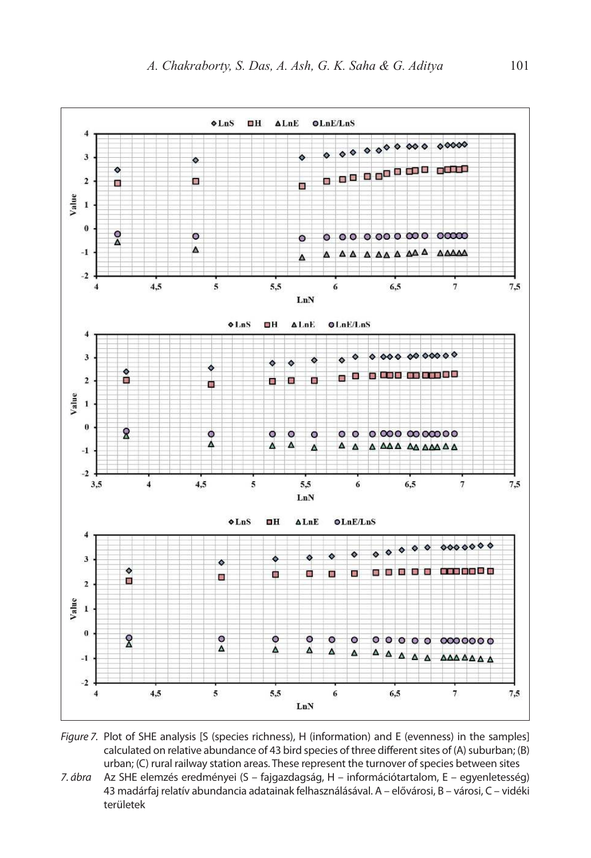

Figure 7. Plot of SHE analysis [S (species richness), H (information) and E (evenness) in the samples] calculated on relative abundance of 43 bird species of three different sites of (A) suburban; (B) urban; (C) rural railway station areas. These represent the turnover of species between sites

7. ábra Az SHE elemzés eredményei (S – fajgazdagság, H – információtartalom, E – egyenletesség) 43 madárfaj relatív abundancia adatainak felhasználásával. A – elővárosi, B – városi, C – vidéki területek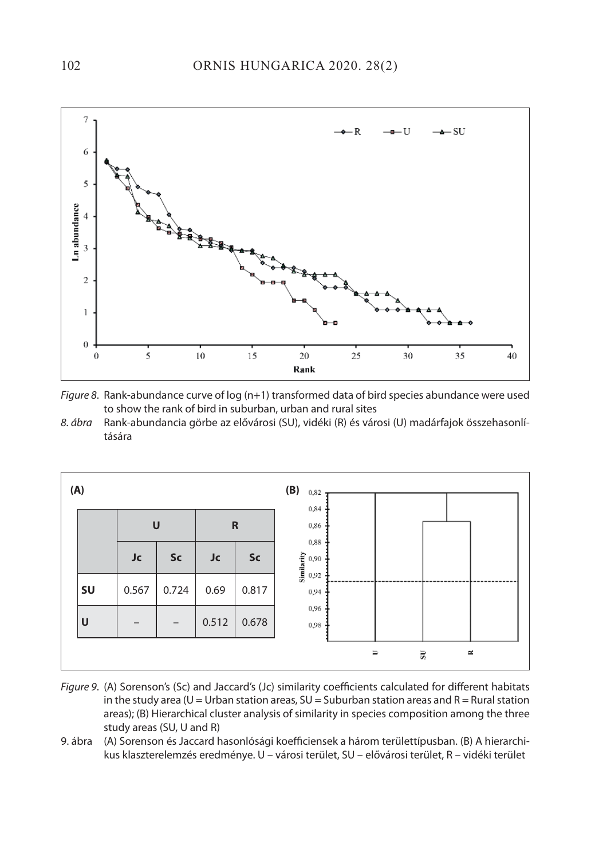

Figure 8. Rank-abundance curve of log (n+1) transformed data of bird species abundance were used to show the rank of bird in suburban, urban and rural sites

8. ábra Rank-abundancia görbe az elővárosi (SU), vidéki (R) és városi (U) madárfajok összehasonlítására



- Figure 9. (A) Sorenson's (Sc) and Jaccard's (Jc) similarity coefficients calculated for different habitats in the study area (U = Urban station areas,  $SU =$  Suburban station areas and R = Rural station areas); (B) Hierarchical cluster analysis of similarity in species composition among the three study areas (SU, U and R)
- 9. ábra (A) Sorenson és Jaccard hasonlósági koefficiensek a három területtípusban. (B) A hierarchikus klaszterelemzés eredménye. U – városi terület, SU – elővárosi terület, R – vidéki terület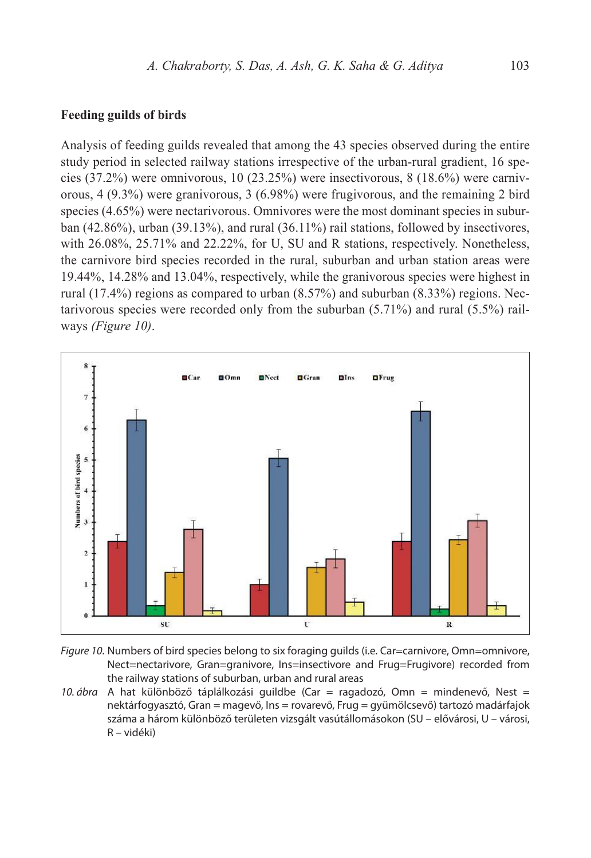## **Feeding guilds of birds**

Analysis of feeding guilds revealed that among the 43 species observed during the entire study period in selected railway stations irrespective of the urban-rural gradient, 16 species (37.2%) were omnivorous, 10 (23.25%) were insectivorous, 8 (18.6%) were carnivorous, 4 (9.3%) were granivorous, 3 (6.98%) were frugivorous, and the remaining 2 bird species (4.65%) were nectarivorous. Omnivores were the most dominant species in suburban (42.86%), urban (39.13%), and rural (36.11%) rail stations, followed by insectivores, with 26.08%, 25.71% and 22.22%, for U, SU and R stations, respectively. Nonetheless, the carnivore bird species recorded in the rural, suburban and urban station areas were 19.44%, 14.28% and 13.04%, respectively, while the granivorous species were highest in rural (17.4%) regions as compared to urban (8.57%) and suburban (8.33%) regions. Nectarivorous species were recorded only from the suburban (5.71%) and rural (5.5%) railways *(Figure 10)*.



Figure 10. Numbers of bird species belong to six foraging guilds (i.e. Car=carnivore, Omn=omnivore, Nect=nectarivore, Gran=granivore, Ins=insectivore and Frug=Frugivore) recorded from the railway stations of suburban, urban and rural areas

10. ábra A hat különböző táplálkozási guildbe (Car = ragadozó, Omn = mindenevő, Nest = nektárfogyasztó, Gran = magevő, Ins = rovarevő, Frug = gyümölcsevő) tartozó madárfajok száma a három különböző területen vizsgált vasútállomásokon (SU – elővárosi, U – városi, R – vidéki)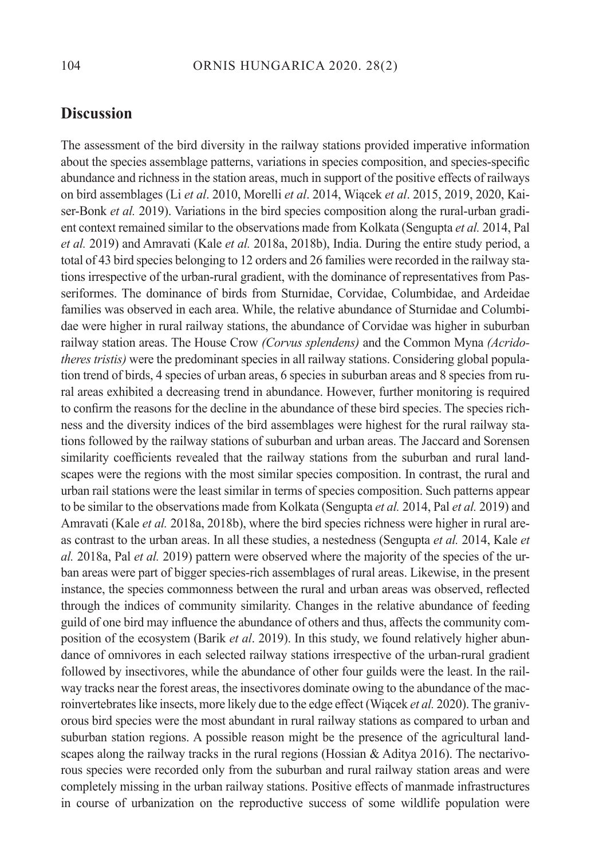# **Discussion**

The assessment of the bird diversity in the railway stations provided imperative information about the species assemblage patterns, variations in species composition, and species-specific abundance and richness in the station areas, much in support of the positive effects of railways on bird assemblages (Li *et al*. 2010, Morelli *et al*. 2014, Wiącek *et al*. 2015, 2019, 2020, Kaiser-Bonk *et al.* 2019). Variations in the bird species composition along the rural-urban gradient context remained similar to the observations made from Kolkata (Sengupta *et al.* 2014, Pal *et al.* 2019) and Amravati (Kale *et al.* 2018a, 2018b), India. During the entire study period, a total of 43 bird species belonging to 12 orders and 26 families were recorded in the railway stations irrespective of the urban-rural gradient, with the dominance of representatives from Passeriformes. The dominance of birds from Sturnidae, Corvidae, Columbidae, and Ardeidae families was observed in each area. While, the relative abundance of Sturnidae and Columbidae were higher in rural railway stations, the abundance of Corvidae was higher in suburban railway station areas. The House Crow *(Corvus splendens)* and the Common Myna *(Acridotheres tristis)* were the predominant species in all railway stations. Considering global population trend of birds, 4 species of urban areas, 6 species in suburban areas and 8 species from rural areas exhibited a decreasing trend in abundance. However, further monitoring is required to confirm the reasons for the decline in the abundance of these bird species. The species richness and the diversity indices of the bird assemblages were highest for the rural railway stations followed by the railway stations of suburban and urban areas. The Jaccard and Sorensen similarity coefficients revealed that the railway stations from the suburban and rural landscapes were the regions with the most similar species composition. In contrast, the rural and urban rail stations were the least similar in terms of species composition. Such patterns appear to be similar to the observations made from Kolkata (Sengupta *et al.* 2014, Pal *et al.* 2019) and Amravati (Kale *et al.* 2018a, 2018b), where the bird species richness were higher in rural areas contrast to the urban areas. In all these studies, a nestedness (Sengupta *et al.* 2014, Kale *et al.* 2018a, Pal *et al.* 2019) pattern were observed where the majority of the species of the urban areas were part of bigger species-rich assemblages of rural areas. Likewise, in the present instance, the species commonness between the rural and urban areas was observed, reflected through the indices of community similarity. Changes in the relative abundance of feeding guild of one bird may influence the abundance of others and thus, affects the community composition of the ecosystem (Barik *et al*. 2019). In this study, we found relatively higher abundance of omnivores in each selected railway stations irrespective of the urban-rural gradient followed by insectivores, while the abundance of other four guilds were the least. In the railway tracks near the forest areas, the insectivores dominate owing to the abundance of the macroinvertebrates like insects, more likely due to the edge effect (Wiącek *et al.* 2020). The granivorous bird species were the most abundant in rural railway stations as compared to urban and suburban station regions. A possible reason might be the presence of the agricultural landscapes along the railway tracks in the rural regions (Hossian  $&$  Aditya 2016). The nectarivorous species were recorded only from the suburban and rural railway station areas and were completely missing in the urban railway stations. Positive effects of manmade infrastructures in course of urbanization on the reproductive success of some wildlife population were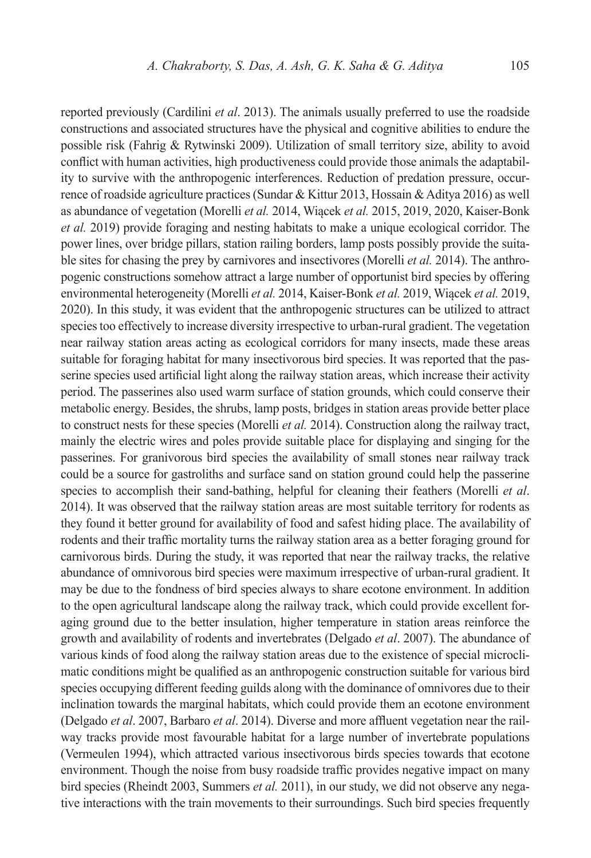reported previously (Cardilini *et al*. 2013). The animals usually preferred to use the roadside constructions and associated structures have the physical and cognitive abilities to endure the possible risk (Fahrig & Rytwinski 2009). Utilization of small territory size, ability to avoid conflict with human activities, high productiveness could provide those animals the adaptability to survive with the anthropogenic interferences. Reduction of predation pressure, occurrence of roadside agriculture practices (Sundar & Kittur 2013, Hossain & Aditya 2016) as well as abundance of vegetation (Morelli *et al.* 2014, Wiącek *et al.* 2015, 2019, 2020, Kaiser-Bonk *et al.* 2019) provide foraging and nesting habitats to make a unique ecological corridor. The power lines, over bridge pillars, station railing borders, lamp posts possibly provide the suitable sites for chasing the prey by carnivores and insectivores (Morelli *et al.* 2014). The anthropogenic constructions somehow attract a large number of opportunist bird species by offering environmental heterogeneity (Morelli *et al.* 2014, Kaiser-Bonk *et al.* 2019, Wiącek *et al.* 2019, 2020). In this study, it was evident that the anthropogenic structures can be utilized to attract species too effectively to increase diversity irrespective to urban-rural gradient. The vegetation near railway station areas acting as ecological corridors for many insects, made these areas suitable for foraging habitat for many insectivorous bird species. It was reported that the passerine species used artificial light along the railway station areas, which increase their activity period. The passerines also used warm surface of station grounds, which could conserve their metabolic energy. Besides, the shrubs, lamp posts, bridges in station areas provide better place to construct nests for these species (Morelli *et al.* 2014). Construction along the railway tract, mainly the electric wires and poles provide suitable place for displaying and singing for the passerines. For granivorous bird species the availability of small stones near railway track could be a source for gastroliths and surface sand on station ground could help the passerine species to accomplish their sand-bathing, helpful for cleaning their feathers (Morelli *et al*. 2014). It was observed that the railway station areas are most suitable territory for rodents as they found it better ground for availability of food and safest hiding place. The availability of rodents and their traffic mortality turns the railway station area as a better foraging ground for carnivorous birds. During the study, it was reported that near the railway tracks, the relative abundance of omnivorous bird species were maximum irrespective of urban-rural gradient. It may be due to the fondness of bird species always to share ecotone environment. In addition to the open agricultural landscape along the railway track, which could provide excellent foraging ground due to the better insulation, higher temperature in station areas reinforce the growth and availability of rodents and invertebrates (Delgado *et al*. 2007). The abundance of various kinds of food along the railway station areas due to the existence of special microclimatic conditions might be qualified as an anthropogenic construction suitable for various bird species occupying different feeding guilds along with the dominance of omnivores due to their inclination towards the marginal habitats, which could provide them an ecotone environment (Delgado *et al*. 2007, Barbaro *et al*. 2014). Diverse and more affluent vegetation near the railway tracks provide most favourable habitat for a large number of invertebrate populations (Vermeulen 1994), which attracted various insectivorous birds species towards that ecotone environment. Though the noise from busy roadside traffic provides negative impact on many bird species (Rheindt 2003, Summers *et al.* 2011), in our study, we did not observe any negative interactions with the train movements to their surroundings. Such bird species frequently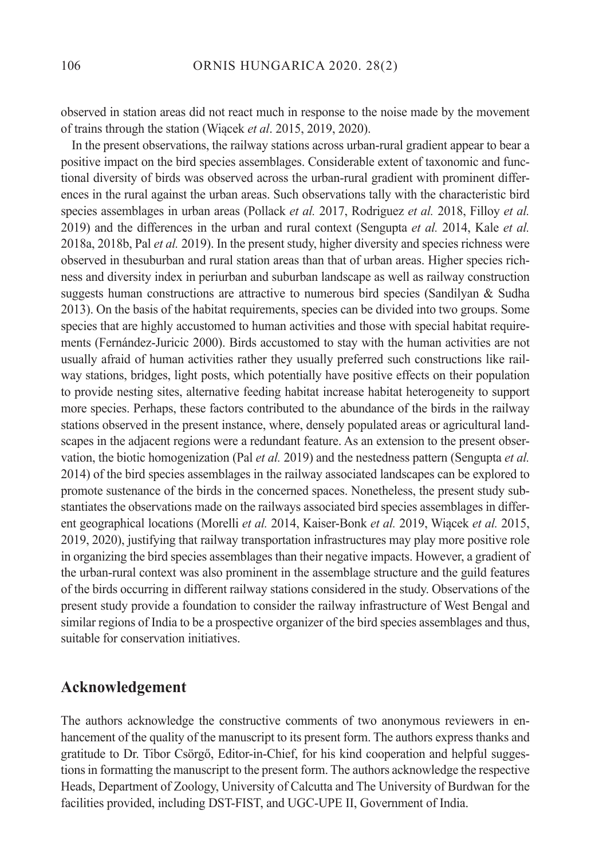observed in station areas did not react much in response to the noise made by the movement of trains through the station (Wiącek *et al*. 2015, 2019, 2020).

In the present observations, the railway stations across urban-rural gradient appear to bear a positive impact on the bird species assemblages. Considerable extent of taxonomic and functional diversity of birds was observed across the urban-rural gradient with prominent differences in the rural against the urban areas. Such observations tally with the characteristic bird species assemblages in urban areas (Pollack *et al.* 2017, Rodriguez *et al.* 2018, Filloy *et al.* 2019) and the differences in the urban and rural context (Sengupta *et al.* 2014, Kale *et al.* 2018a, 2018b, Pal *et al.* 2019). In the present study, higher diversity and species richness were observed in thesuburban and rural station areas than that of urban areas. Higher species richness and diversity index in periurban and suburban landscape as well as railway construction suggests human constructions are attractive to numerous bird species (Sandilyan & Sudha 2013). On the basis of the habitat requirements, species can be divided into two groups. Some species that are highly accustomed to human activities and those with special habitat requirements (Fernández-Juricic 2000). Birds accustomed to stay with the human activities are not usually afraid of human activities rather they usually preferred such constructions like railway stations, bridges, light posts, which potentially have positive effects on their population to provide nesting sites, alternative feeding habitat increase habitat heterogeneity to support more species. Perhaps, these factors contributed to the abundance of the birds in the railway stations observed in the present instance, where, densely populated areas or agricultural landscapes in the adjacent regions were a redundant feature. As an extension to the present observation, the biotic homogenization (Pal *et al.* 2019) and the nestedness pattern (Sengupta *et al.* 2014) of the bird species assemblages in the railway associated landscapes can be explored to promote sustenance of the birds in the concerned spaces. Nonetheless, the present study substantiates the observations made on the railways associated bird species assemblages in different geographical locations (Morelli *et al.* 2014, Kaiser-Bonk *et al.* 2019, Wiącek *et al.* 2015, 2019, 2020), justifying that railway transportation infrastructures may play more positive role in organizing the bird species assemblages than their negative impacts. However, a gradient of the urban-rural context was also prominent in the assemblage structure and the guild features of the birds occurring in different railway stations considered in the study. Observations of the present study provide a foundation to consider the railway infrastructure of West Bengal and similar regions of India to be a prospective organizer of the bird species assemblages and thus, suitable for conservation initiatives.

## **Acknowledgement**

The authors acknowledge the constructive comments of two anonymous reviewers in enhancement of the quality of the manuscript to its present form. The authors express thanks and gratitude to Dr. Tibor Csörgő, Editor-in-Chief, for his kind cooperation and helpful suggestions in formatting the manuscript to the present form. The authors acknowledge the respective Heads, Department of Zoology, University of Calcutta and The University of Burdwan for the facilities provided, including DST-FIST, and UGC-UPE II, Government of India.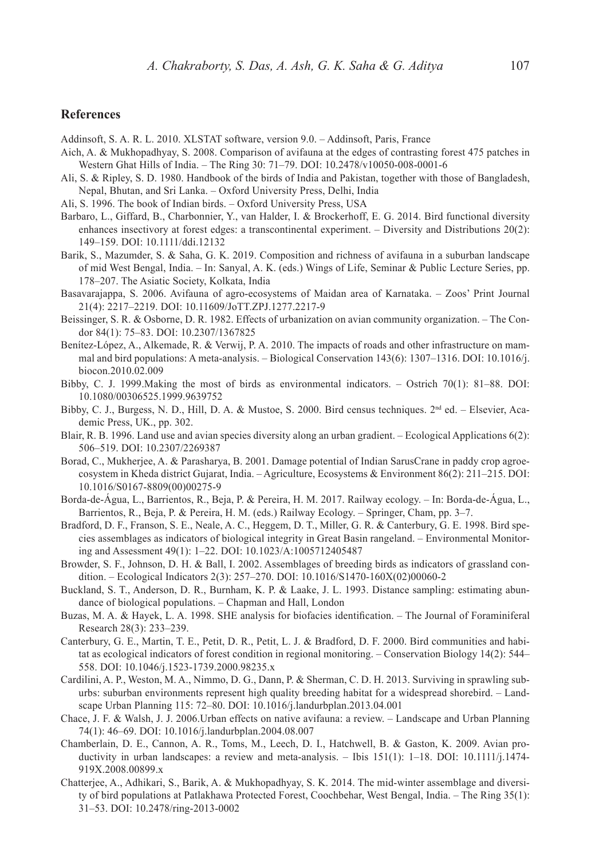#### **References**

Addinsoft, S. A. R. L. 2010. XLSTAT software, version 9.0. – Addinsoft, Paris, France

- Aich, A. & Mukhopadhyay, S. 2008. Comparison of avifauna at the edges of contrasting forest 475 patches in Western Ghat Hills of India. – The Ring 30: 71–79. DOI: 10.2478/v10050-008-0001-6
- Ali, S. & Ripley, S. D. 1980. Handbook of the birds of India and Pakistan, together with those of Bangladesh, Nepal, Bhutan, and Sri Lanka. – Oxford University Press, Delhi, India
- Ali, S. 1996. The book of Indian birds. Oxford University Press, USA
- Barbaro, L., Giffard, B., Charbonnier, Y., van Halder, I. & Brockerhoff, E. G. 2014. Bird functional diversity enhances insectivory at forest edges: a transcontinental experiment. – Diversity and Distributions 20(2): 149–159. DOI: 10.1111/ddi.12132
- Barik, S., Mazumder, S. & Saha, G. K. 2019. Composition and richness of avifauna in a suburban landscape of mid West Bengal, India. – In: Sanyal, A. K. (eds.) Wings of Life, Seminar & Public Lecture Series, pp. 178–207. The Asiatic Society, Kolkata, India
- Basavarajappa, S. 2006. Avifauna of agro-ecosystems of Maidan area of Karnataka. Zoos' Print Journal 21(4): 2217–2219. DOI: 10.11609/JoTT.ZPJ.1277.2217-9
- Beissinger, S. R. & Osborne, D. R. 1982. Effects of urbanization on avian community organization. The Condor 84(1): 75–83. DOI: 10.2307/1367825
- Benítez-López, A., Alkemade, R. & Verwij, P. A. 2010. The impacts of roads and other infrastructure on mammal and bird populations: A meta-analysis. – Biological Conservation 143(6): 1307–1316. DOI: 10.1016/j. biocon.2010.02.009
- Bibby, C. J. 1999.Making the most of birds as environmental indicators. Ostrich 70(1): 81–88. DOI: 10.1080/00306525.1999.9639752
- Bibby, C. J., Burgess, N. D., Hill, D. A. & Mustoe, S. 2000. Bird census techniques. 2<sup>nd</sup> ed. Elsevier, Academic Press, UK., pp. 302.
- Blair, R. B. 1996. Land use and avian species diversity along an urban gradient. Ecological Applications 6(2): 506–519. DOI: 10.2307/2269387
- Borad, C., Mukherjee, A. & Parasharya, B. 2001. Damage potential of Indian SarusCrane in paddy crop agroecosystem in Kheda district Gujarat, India. – Agriculture, Ecosystems & Environment 86(2): 211–215. DOI: 10.1016/S0167-8809(00)00275-9
- Borda-de-Água, L., Barrientos, R., Beja, P. & Pereira, H. M. 2017. Railway ecology. In: Borda-de-Água, L., Barrientos, R., Beja, P. & Pereira, H. M. (eds.) Railway Ecology. – Springer, Cham, pp. 3–7.
- Bradford, D. F., Franson, S. E., Neale, A. C., Heggem, D. T., Miller, G. R. & Canterbury, G. E. 1998. Bird species assemblages as indicators of biological integrity in Great Basin rangeland. – Environmental Monitoring and Assessment 49(1): 1–22. DOI: 10.1023/A:1005712405487
- Browder, S. F., Johnson, D. H. & Ball, I. 2002. Assemblages of breeding birds as indicators of grassland condition. – Ecological Indicators 2(3): 257–270. DOI: 10.1016/S1470-160X(02)00060-2
- Buckland, S. T., Anderson, D. R., Burnham, K. P. & Laake, J. L. 1993. Distance sampling: estimating abundance of biological populations. – Chapman and Hall, London
- Buzas, M. A. & Hayek, L. A. 1998. SHE analysis for biofacies identification. The Journal of Foraminiferal Research 28(3): 233–239.
- Canterbury, G. E., Martin, T. E., Petit, D. R., Petit, L. J. & Bradford, D. F. 2000. Bird communities and habitat as ecological indicators of forest condition in regional monitoring. – Conservation Biology 14(2): 544– 558. DOI: 10.1046/j.1523-1739.2000.98235.x
- Cardilini, A. P., Weston, M. A., Nimmo, D. G., Dann, P. & Sherman, C. D. H. 2013. Surviving in sprawling suburbs: suburban environments represent high quality breeding habitat for a widespread shorebird. – Landscape Urban Planning 115: 72–80. DOI: 10.1016/j.landurbplan.2013.04.001
- Chace, J. F. & Walsh, J. J. 2006.Urban effects on native avifauna: a review. Landscape and Urban Planning 74(1): 46–69. DOI: 10.1016/j.landurbplan.2004.08.007
- Chamberlain, D. E., Cannon, A. R., Toms, M., Leech, D. I., Hatchwell, B. & Gaston, K. 2009. Avian productivity in urban landscapes: a review and meta-analysis. – Ibis 151(1): 1–18. DOI: 10.1111/j.1474- 919X.2008.00899.x
- Chatterjee, A., Adhikari, S., Barik, A. & Mukhopadhyay, S. K. 2014. The mid-winter assemblage and diversity of bird populations at Patlakhawa Protected Forest, Coochbehar, West Bengal, India. – The Ring 35(1): 31–53. DOI: 10.2478/ring-2013-0002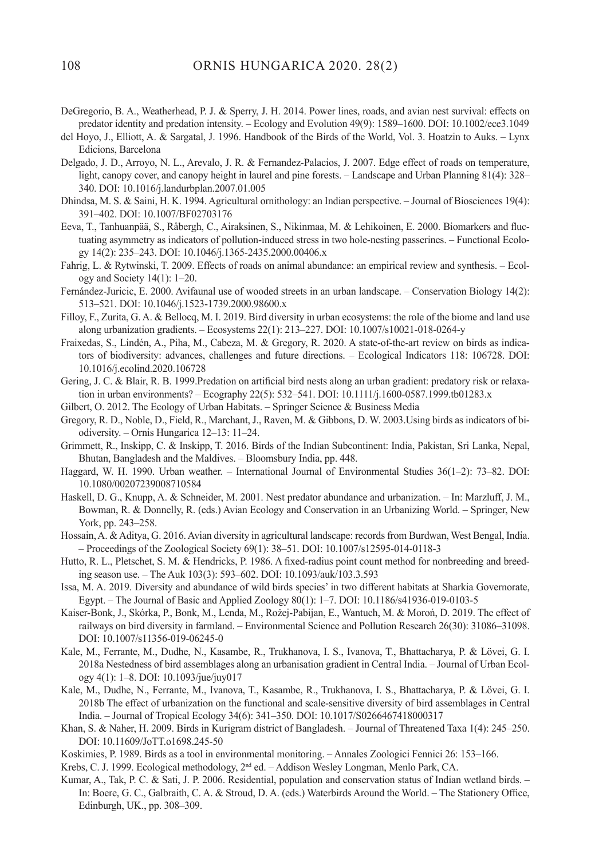- DeGregorio, B. A., Weatherhead, P. J. & Sperry, J. H. 2014. Power lines, roads, and avian nest survival: effects on predator identity and predation intensity. – Ecology and Evolution 49(9): 1589–1600. DOI: 10.1002/ece3.1049
- del Hoyo, J., Elliott, A. & Sargatal, J. 1996. Handbook of the Birds of the World, Vol. 3. Hoatzin to Auks. Lynx Edicions, Barcelona
- Delgado, J. D., Arroyo, N. L., Arevalo, J. R. & Fernandez-Palacios, J. 2007. Edge effect of roads on temperature, light, canopy cover, and canopy height in laurel and pine forests. – Landscape and Urban Planning 81(4): 328– 340. DOI: 10.1016/j.landurbplan.2007.01.005
- Dhindsa, M. S. & Saini, H. K. 1994. Agricultural ornithology: an Indian perspective. Journal of Biosciences 19(4): 391–402. DOI: 10.1007/BF02703176
- Eeva, T., Tanhuanpää, S., Råbergh, C., Airaksinen, S., Nikinmaa, M. & Lehikoinen, E. 2000. Biomarkers and fluctuating asymmetry as indicators of pollution-induced stress in two hole-nesting passerines. – Functional Ecology 14(2): 235–243. DOI: 10.1046/j.1365-2435.2000.00406.x
- Fahrig, L. & Rytwinski, T. 2009. Effects of roads on animal abundance: an empirical review and synthesis. Ecology and Society 14(1): 1–20.
- Fernández-Juricic, E. 2000. Avifaunal use of wooded streets in an urban landscape. Conservation Biology 14(2): 513–521. DOI: 10.1046/j.1523-1739.2000.98600.x
- Filloy, F., Zurita, G. A. & Bellocq, M. I. 2019. Bird diversity in urban ecosystems: the role of the biome and land use along urbanization gradients. – Ecosystems 22(1): 213–227. DOI: 10.1007/s10021-018-0264-y
- Fraixedas, S., Lindén, A., Piha, M., Cabeza, M. & Gregory, R. 2020. A state-of-the-art review on birds as indicators of biodiversity: advances, challenges and future directions. – Ecological Indicators 118: 106728. DOI: 10.1016/j.ecolind.2020.106728
- Gering, J. C. & Blair, R. B. 1999.Predation on artificial bird nests along an urban gradient: predatory risk or relaxation in urban environments? – Ecography 22(5): 532–541. DOI: 10.1111/j.1600-0587.1999.tb01283.x
- Gilbert, O. 2012. The Ecology of Urban Habitats. Springer Science & Business Media
- Gregory, R. D., Noble, D., Field, R., Marchant, J., Raven, M. & Gibbons, D. W. 2003.Using birds as indicators of biodiversity. – Ornis Hungarica 12–13: 11–24.
- Grimmett, R., Inskipp, C. & Inskipp, T. 2016. Birds of the Indian Subcontinent: India, Pakistan, Sri Lanka, Nepal, Bhutan, Bangladesh and the Maldives. – Bloomsbury India, pp. 448.
- Haggard, W. H. 1990. Urban weather. International Journal of Environmental Studies 36(1–2): 73–82. DOI: 10.1080/00207239008710584
- Haskell, D. G., Knupp, A. & Schneider, M. 2001. Nest predator abundance and urbanization. In: Marzluff, J. M., Bowman, R. & Donnelly, R. (eds.) Avian Ecology and Conservation in an Urbanizing World. – Springer, New York, pp. 243–258.
- Hossain, A. & Aditya, G. 2016. Avian diversity in agricultural landscape: records from Burdwan, West Bengal, India. – Proceedings of the Zoological Society 69(1): 38–51. DOI: 10.1007/s12595-014-0118-3
- Hutto, R. L., Pletschet, S. M. & Hendricks, P. 1986. A fixed-radius point count method for nonbreeding and breeding season use. – The Auk 103(3): 593–602. DOI: 10.1093/auk/103.3.593
- Issa, M. A. 2019. Diversity and abundance of wild birds species' in two different habitats at Sharkia Governorate, Egypt. – The Journal of Basic and Applied Zoology 80(1): 1–7. DOI: 10.1186/s41936-019-0103-5
- Kaiser-Bonk, J., Skórka, P., Bonk, M., Lenda, M., Rożej-Pabijan, E., Wantuch, M. & Moroń, D. 2019. The effect of railways on bird diversity in farmland. – Environmental Science and Pollution Research 26(30): 31086–31098. DOI: 10.1007/s11356-019-06245-0
- Kale, M., Ferrante, M., Dudhe, N., Kasambe, R., Trukhanova, I. S., Ivanova, T., Bhattacharya, P. & Lövei, G. I. 2018a Nestedness of bird assemblages along an urbanisation gradient in Central India. – Journal of Urban Ecology 4(1): 1–8. DOI: 10.1093/jue/juy017
- Kale, M., Dudhe, N., Ferrante, M., Ivanova, T., Kasambe, R., Trukhanova, I. S., Bhattacharya, P. & Lövei, G. I. 2018b The effect of urbanization on the functional and scale-sensitive diversity of bird assemblages in Central India. – Journal of Tropical Ecology 34(6): 341–350. DOI: 10.1017/S0266467418000317
- Khan, S. & Naher, H. 2009. Birds in Kurigram district of Bangladesh. Journal of Threatened Taxa 1(4): 245–250. DOI: 10.11609/JoTT.o1698.245-50
- Koskimies, P. 1989. Birds as a tool in environmental monitoring. Annales Zoologici Fennici 26: 153–166.
- Krebs, C. J. 1999. Ecological methodology,  $2<sup>nd</sup>$  ed. Addison Wesley Longman, Menlo Park, CA.
- Kumar, A., Tak, P. C. & Sati, J. P. 2006. Residential, population and conservation status of Indian wetland birds. In: Boere, G. C., Galbraith, C. A. & Stroud, D. A. (eds.) Waterbirds Around the World. – The Stationery Office, Edinburgh, UK., pp. 308–309.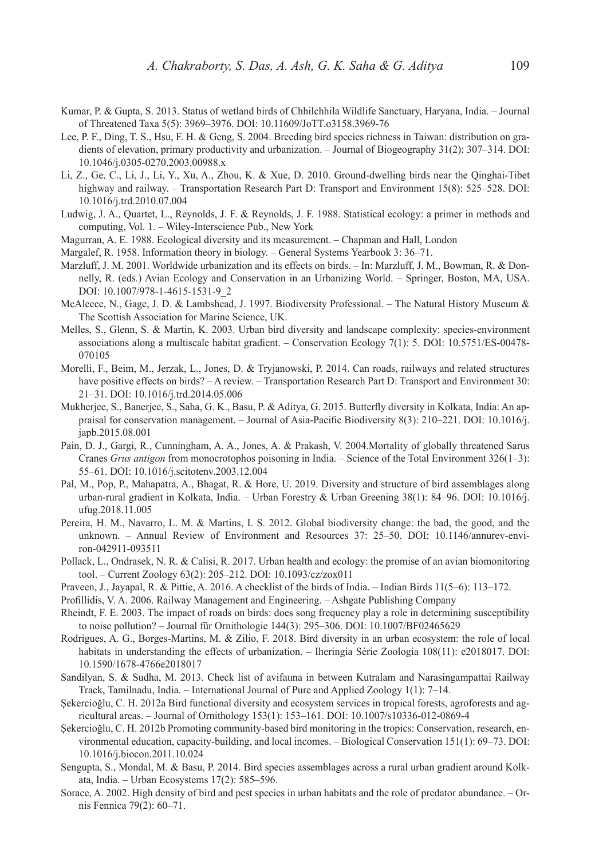- Kumar, P. & Gupta, S. 2013. Status of wetland birds of Chhilchhila Wildlife Sanctuary, Haryana, India. Journal of Threatened Taxa 5(5): 3969–3976. DOI: 10.11609/JoTT.o3158.3969-76
- Lee, P. F., Ding, T. S., Hsu, F. H. & Geng, S. 2004. Breeding bird species richness in Taiwan: distribution on gradients of elevation, primary productivity and urbanization. – Journal of Biogeography 31(2): 307–314. DOI: 10.1046/j.0305-0270.2003.00988.x
- Li, Z., Ge, C., Li, J., Li, Y., Xu, A., Zhou, K. & Xue, D. 2010. Ground-dwelling birds near the Qinghai-Tibet highway and railway. – Transportation Research Part D: Transport and Environment 15(8): 525–528. DOI: 10.1016/j.trd.2010.07.004
- Ludwig, J. A., Quartet, L., Reynolds, J. F. & Reynolds, J. F. 1988. Statistical ecology: a primer in methods and computing, Vol. 1. – Wiley-Interscience Pub., New York
- Magurran, A. E. 1988. Ecological diversity and its measurement. Chapman and Hall, London
- Margalef, R. 1958. Information theory in biology. General Systems Yearbook 3: 36–71.
- Marzluff, J. M. 2001. Worldwide urbanization and its effects on birds. In: Marzluff, J. M., Bowman, R. & Donnelly, R. (eds.) Avian Ecology and Conservation in an Urbanizing World. – Springer, Boston, MA, USA. DOI: 10.1007/978-1-4615-1531-9\_2
- McAleece, N., Gage, J. D. & Lambshead, J. 1997. Biodiversity Professional. The Natural History Museum & The Scottish Association for Marine Science, UK.
- Melles, S., Glenn, S. & Martin, K. 2003. Urban bird diversity and landscape complexity: species-environment associations along a multiscale habitat gradient. – Conservation Ecology 7(1): 5. DOI: 10.5751/ES-00478- 070105
- Morelli, F., Beim, M., Jerzak, L., Jones, D. & Tryjanowski, P. 2014. Can roads, railways and related structures have positive effects on birds? – A review. – Transportation Research Part D: Transport and Environment 30: 21–31. DOI: 10.1016/j.trd.2014.05.006
- Mukherjee, S., Banerjee, S., Saha, G. K., Basu, P. & Aditya, G. 2015. Butterfly diversity in Kolkata, India: An appraisal for conservation management. – Journal of Asia-Pacific Biodiversity 8(3): 210–221. DOI: 10.1016/j. japb.2015.08.001
- Pain, D. J., Gargi, R., Cunningham, A. A., Jones, A. & Prakash, V. 2004.Mortality of globally threatened Sarus Cranes *Grus antigon* from monocrotophos poisoning in India. – Science of the Total Environment 326(1–3): 55–61. DOI: 10.1016/j.scitotenv.2003.12.004
- Pal, M., Pop, P., Mahapatra, A., Bhagat, R. & Hore, U. 2019. Diversity and structure of bird assemblages along urban-rural gradient in Kolkata, India. – Urban Forestry & Urban Greening 38(1): 84–96. DOI: 10.1016/j. ufug.2018.11.005
- Pereira, H. M., Navarro, L. M. & Martins, I. S. 2012. Global biodiversity change: the bad, the good, and the unknown. – Annual Review of Environment and Resources 37: 25–50. DOI: 10.1146/annurev-environ-042911-093511
- Pollack, L., Ondrasek, N. R. & Calisi, R. 2017. Urban health and ecology: the promise of an avian biomonitoring tool. – Current Zoology 63(2): 205–212. DOI: 10.1093/cz/zox011
- Praveen, J., Jayapal, R. & Pittie, A. 2016. A checklist of the birds of India. Indian Birds 11(5–6): 113–172.
- Profillidis, V. A. 2006. Railway Management and Engineering. Ashgate Publishing Company
- Rheindt, F. E. 2003. The impact of roads on birds: does song frequency play a role in determining susceptibility to noise pollution? – Journal für Ornithologie 144(3): 295–306. DOI: 10.1007/BF02465629
- Rodrigues, A. G., Borges-Martins, M. & Zilio, F. 2018. Bird diversity in an urban ecosystem: the role of local habitats in understanding the effects of urbanization. – Iheringia Série Zoologia 108(11): e2018017. DOI: 10.1590/1678-4766e2018017
- Sandilyan, S. & Sudha, M. 2013. Check list of avifauna in between Kutralam and Narasingampattai Railway Track, Tamilnadu, India. – International Journal of Pure and Applied Zoology 1(1): 7–14.
- Şekercioğlu, C. H. 2012a Bird functional diversity and ecosystem services in tropical forests, agroforests and agricultural areas. – Journal of Ornithology 153(1): 153–161. DOI: 10.1007/s10336-012-0869-4
- Şekercioğlu, C. H. 2012b Promoting community-based bird monitoring in the tropics: Conservation, research, environmental education, capacity-building, and local incomes. – Biological Conservation 151(1): 69–73. DOI: 10.1016/j.biocon.2011.10.024
- Sengupta, S., Mondal, M. & Basu, P. 2014. Bird species assemblages across a rural urban gradient around Kolkata, India. – Urban Ecosystems 17(2): 585–596.
- Sorace, A. 2002. High density of bird and pest species in urban habitats and the role of predator abundance. Ornis Fennica 79(2): 60–71.